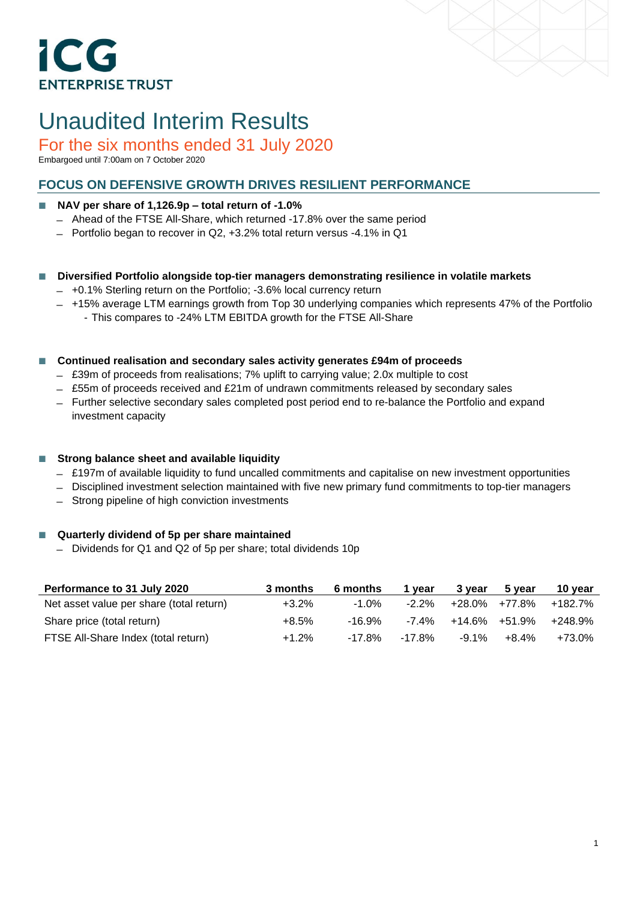



1

# Unaudited Interim Results

For the six months ended 31 July 2020

Embargoed until 7:00am on 7 October 2020

# **FOCUS ON DEFENSIVE GROWTH DRIVES RESILIENT PERFORMANCE**

### **NAV per share of 1,126.9p – total return of -1.0%**

- ̶ Ahead of the FTSE All-Share, which returned -17.8% over the same period
- ̶ Portfolio began to recover in Q2, +3.2% total return versus -4.1% in Q1

### **Diversified Portfolio alongside top-tier managers demonstrating resilience in volatile markets**

- ̶ +0.1% Sterling return on the Portfolio; -3.6% local currency return
- ̶ +15% average LTM earnings growth from Top 30 underlying companies which represents 47% of the Portfolio - This compares to -24% LTM EBITDA growth for the FTSE All-Share

**Continued realisation and secondary sales activity generates £94m of proceeds**

- ̶ £39m of proceeds from realisations; 7% uplift to carrying value; 2.0x multiple to cost
- $-$  £55m of proceeds received and £21m of undrawn commitments released by secondary sales
- ̶ Further selective secondary sales completed post period end to re-balance the Portfolio and expand investment capacity

### **Strong balance sheet and available liquidity**

- ̶ £197m of available liquidity to fund uncalled commitments and capitalise on new investment opportunities
- ̶ Disciplined investment selection maintained with five new primary fund commitments to top-tier managers
- ̶ Strong pipeline of high conviction investments

### **Quarterly dividend of 5p per share maintained**

̶ Dividends for Q1 and Q2 of 5p per share; total dividends 10p

| Performance to 31 July 2020              | 3 months | 6 months  | 1 vear   | 3 vear        | 5 vear  | 10 vear |
|------------------------------------------|----------|-----------|----------|---------------|---------|---------|
| Net asset value per share (total return) | $+3.2\%$ | $-1.0\%$  | $-2.2\%$ | +28.0% +77.8% |         | +182.7% |
| Share price (total return)               | $+8.5%$  | $-16.9\%$ | -7.4%    | +14.6% +51.9% |         | +248.9% |
| FTSE All-Share Index (total return)      | $+1.2%$  | -17.8%    | -17.8%   | $-9.1\%$      | $+8.4%$ | +73.0%  |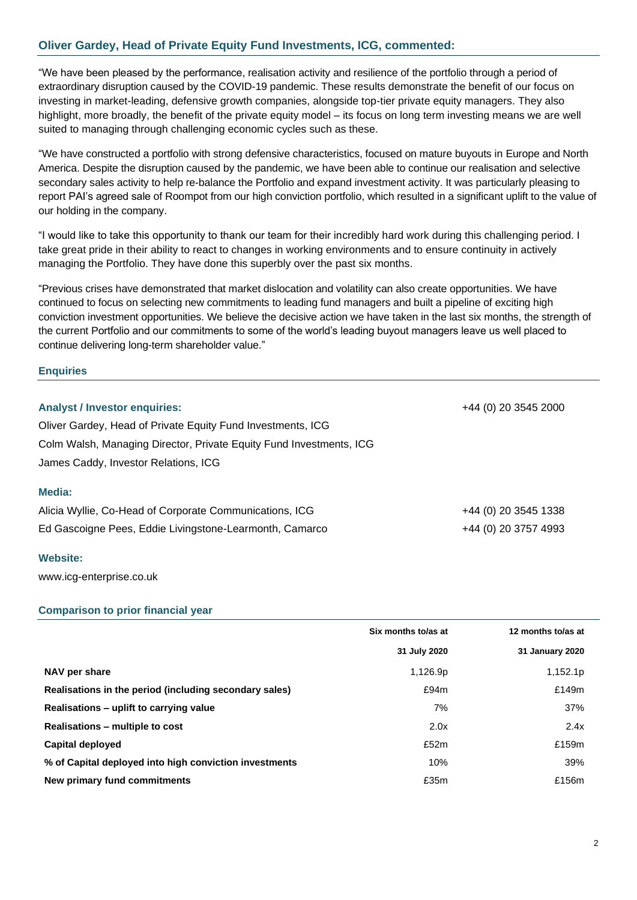### **Oliver Gardey, Head of Private Equity Fund Investments, ICG, commented:**

"We have been pleased by the performance, realisation activity and resilience of the portfolio through a period of extraordinary disruption caused by the COVID-19 pandemic. These results demonstrate the benefit of our focus on investing in market-leading, defensive growth companies, alongside top-tier private equity managers. They also highlight, more broadly, the benefit of the private equity model – its focus on long term investing means we are well suited to managing through challenging economic cycles such as these.

"We have constructed a portfolio with strong defensive characteristics, focused on mature buyouts in Europe and North America. Despite the disruption caused by the pandemic, we have been able to continue our realisation and selective secondary sales activity to help re-balance the Portfolio and expand investment activity. It was particularly pleasing to report PAI's agreed sale of Roompot from our high conviction portfolio, which resulted in a significant uplift to the value of our holding in the company.

"I would like to take this opportunity to thank our team for their incredibly hard work during this challenging period. I take great pride in their ability to react to changes in working environments and to ensure continuity in actively managing the Portfolio. They have done this superbly over the past six months.

"Previous crises have demonstrated that market dislocation and volatility can also create opportunities. We have continued to focus on selecting new commitments to leading fund managers and built a pipeline of exciting high conviction investment opportunities. We believe the decisive action we have taken in the last six months, the strength of the current Portfolio and our commitments to some of the world's leading buyout managers leave us well placed to continue delivering long-term shareholder value."

### **Enquiries**

| <b>Analyst / Investor enquiries:</b>                                | +44 (0) 20 3545 2000 |
|---------------------------------------------------------------------|----------------------|
| Oliver Gardey, Head of Private Equity Fund Investments, ICG         |                      |
| Colm Walsh, Managing Director, Private Equity Fund Investments, ICG |                      |
| James Caddy, Investor Relations, ICG                                |                      |
| Media:                                                              |                      |
| Alicia Wyllie, Co-Head of Corporate Communications, ICG             | +44 (0) 20 3545 1338 |
| Ed Gascoigne Pees, Eddie Livingstone-Learmonth, Camarco             | +44 (0) 20 3757 4993 |
| $\cdots$                                                            |                      |

#### **Website:**

www.icg-enterprise.co.uk

### **Comparison to prior financial year**

|                                                        | Six months to/as at | 12 months to/as at |
|--------------------------------------------------------|---------------------|--------------------|
|                                                        | 31 July 2020        | 31 January 2020    |
| NAV per share                                          | 1,126.9p            | 1,152.1p           |
| Realisations in the period (including secondary sales) | £94m                | £149m              |
| Realisations - uplift to carrying value                | 7%                  | 37%                |
| Realisations – multiple to cost                        | 2.0x                | 2.4x               |
| <b>Capital deployed</b>                                | £52m                | £159m              |
| % of Capital deployed into high conviction investments | 10%                 | 39%                |
| New primary fund commitments                           | £35m                | £156m              |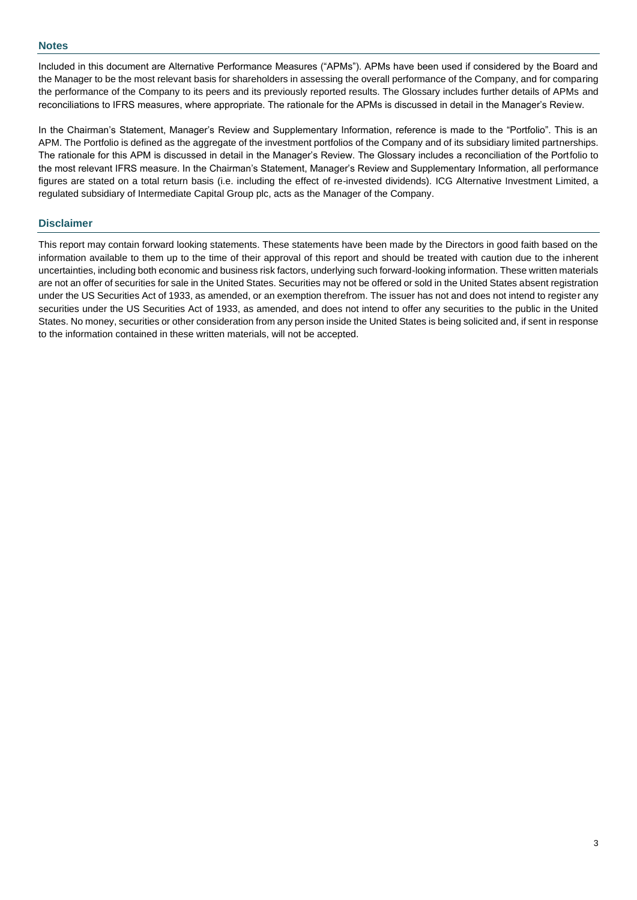#### **Notes**

Included in this document are Alternative Performance Measures ("APMs"). APMs have been used if considered by the Board and the Manager to be the most relevant basis for shareholders in assessing the overall performance of the Company, and for comparing the performance of the Company to its peers and its previously reported results. The Glossary includes further details of APMs and reconciliations to IFRS measures, where appropriate. The rationale for the APMs is discussed in detail in the Manager's Review.

In the Chairman's Statement, Manager's Review and Supplementary Information, reference is made to the "Portfolio". This is an APM. The Portfolio is defined as the aggregate of the investment portfolios of the Company and of its subsidiary limited partnerships. The rationale for this APM is discussed in detail in the Manager's Review. The Glossary includes a reconciliation of the Portfolio to the most relevant IFRS measure. In the Chairman's Statement, Manager's Review and Supplementary Information, all performance figures are stated on a total return basis (i.e. including the effect of re-invested dividends). ICG Alternative Investment Limited, a regulated subsidiary of Intermediate Capital Group plc, acts as the Manager of the Company.

#### **Disclaimer**

This report may contain forward looking statements. These statements have been made by the Directors in good faith based on the information available to them up to the time of their approval of this report and should be treated with caution due to the inherent uncertainties, including both economic and business risk factors, underlying such forward-looking information. These written materials are not an offer of securities for sale in the United States. Securities may not be offered or sold in the United States absent registration under the US Securities Act of 1933, as amended, or an exemption therefrom. The issuer has not and does not intend to register any securities under the US Securities Act of 1933, as amended, and does not intend to offer any securities to the public in the United States. No money, securities or other consideration from any person inside the United States is being solicited and, if sent in response to the information contained in these written materials, will not be accepted.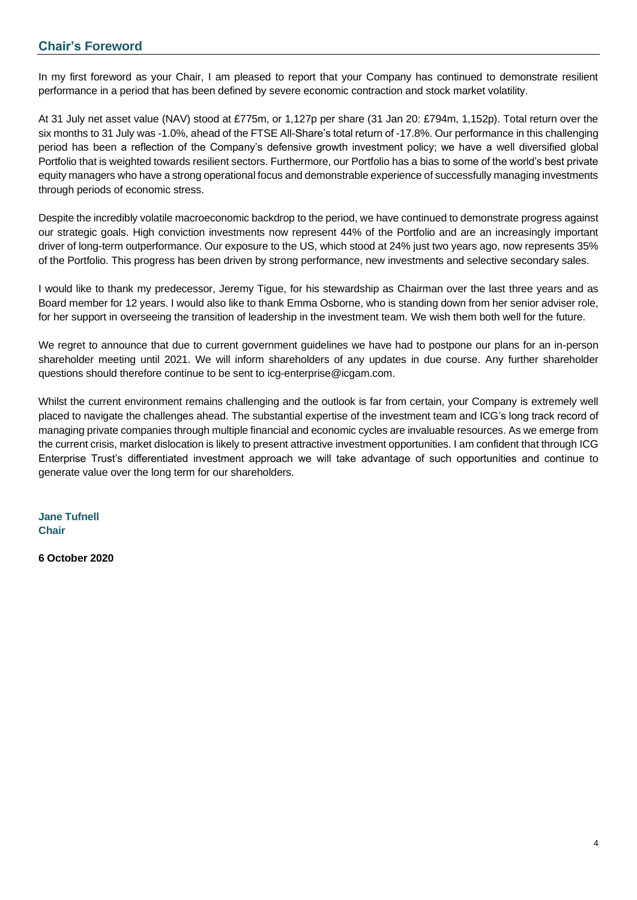### **Chair's Foreword**

In my first foreword as your Chair, I am pleased to report that your Company has continued to demonstrate resilient performance in a period that has been defined by severe economic contraction and stock market volatility.

At 31 July net asset value (NAV) stood at £775m, or 1,127p per share (31 Jan 20: £794m, 1,152p). Total return over the six months to 31 July was -1.0%, ahead of the FTSE All-Share's total return of -17.8%. Our performance in this challenging period has been a reflection of the Company's defensive growth investment policy; we have a well diversified global Portfolio that is weighted towards resilient sectors. Furthermore, our Portfolio has a bias to some of the world's best private equity managers who have a strong operational focus and demonstrable experience of successfully managing investments through periods of economic stress.

Despite the incredibly volatile macroeconomic backdrop to the period, we have continued to demonstrate progress against our strategic goals. High conviction investments now represent 44% of the Portfolio and are an increasingly important driver of long-term outperformance. Our exposure to the US, which stood at 24% just two years ago, now represents 35% of the Portfolio. This progress has been driven by strong performance, new investments and selective secondary sales.

I would like to thank my predecessor, Jeremy Tigue, for his stewardship as Chairman over the last three years and as Board member for 12 years. I would also like to thank Emma Osborne, who is standing down from her senior adviser role, for her support in overseeing the transition of leadership in the investment team. We wish them both well for the future.

We regret to announce that due to current government guidelines we have had to postpone our plans for an in-person shareholder meeting until 2021. We will inform shareholders of any updates in due course. Any further shareholder questions should therefore continue to be sent to icg-enterprise@icgam.com.

Whilst the current environment remains challenging and the outlook is far from certain, your Company is extremely well placed to navigate the challenges ahead. The substantial expertise of the investment team and ICG's long track record of managing private companies through multiple financial and economic cycles are invaluable resources. As we emerge from the current crisis, market dislocation is likely to present attractive investment opportunities. I am confident that through ICG Enterprise Trust's differentiated investment approach we will take advantage of such opportunities and continue to generate value over the long term for our shareholders.

**Jane Tufnell Chair**

**6 October 2020**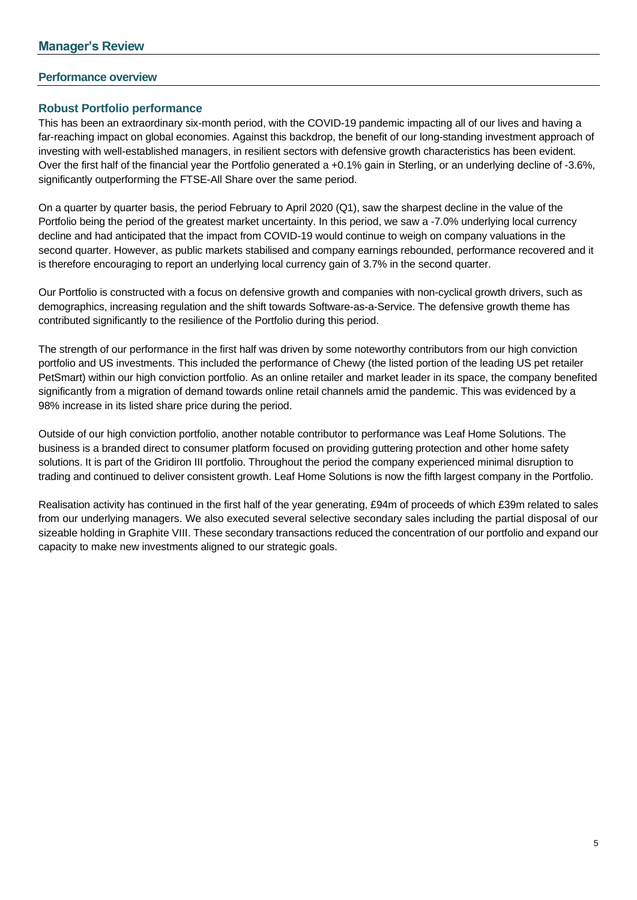### **Performance overview**

### **Robust Portfolio performance**

This has been an extraordinary six-month period, with the COVID-19 pandemic impacting all of our lives and having a far-reaching impact on global economies. Against this backdrop, the benefit of our long-standing investment approach of investing with well-established managers, in resilient sectors with defensive growth characteristics has been evident. Over the first half of the financial year the Portfolio generated a +0.1% gain in Sterling, or an underlying decline of -3.6%, significantly outperforming the FTSE-All Share over the same period.

On a quarter by quarter basis, the period February to April 2020 (Q1), saw the sharpest decline in the value of the Portfolio being the period of the greatest market uncertainty. In this period, we saw a -7.0% underlying local currency decline and had anticipated that the impact from COVID-19 would continue to weigh on company valuations in the second quarter. However, as public markets stabilised and company earnings rebounded, performance recovered and it is therefore encouraging to report an underlying local currency gain of 3.7% in the second quarter.

Our Portfolio is constructed with a focus on defensive growth and companies with non-cyclical growth drivers, such as demographics, increasing regulation and the shift towards Software-as-a-Service. The defensive growth theme has contributed significantly to the resilience of the Portfolio during this period.

The strength of our performance in the first half was driven by some noteworthy contributors from our high conviction portfolio and US investments. This included the performance of Chewy (the listed portion of the leading US pet retailer PetSmart) within our high conviction portfolio. As an online retailer and market leader in its space, the company benefited significantly from a migration of demand towards online retail channels amid the pandemic. This was evidenced by a 98% increase in its listed share price during the period.

Outside of our high conviction portfolio, another notable contributor to performance was Leaf Home Solutions. The business is a branded direct to consumer platform focused on providing guttering protection and other home safety solutions. It is part of the Gridiron III portfolio. Throughout the period the company experienced minimal disruption to trading and continued to deliver consistent growth. Leaf Home Solutions is now the fifth largest company in the Portfolio.

Realisation activity has continued in the first half of the year generating, £94m of proceeds of which £39m related to sales from our underlying managers. We also executed several selective secondary sales including the partial disposal of our sizeable holding in Graphite VIII. These secondary transactions reduced the concentration of our portfolio and expand our capacity to make new investments aligned to our strategic goals.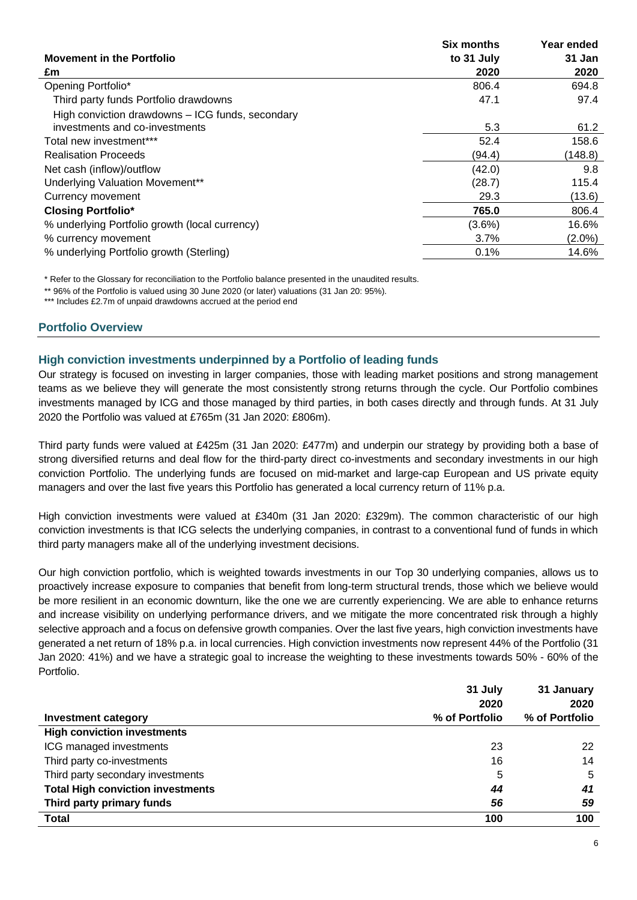|                                                  | <b>Six months</b> | Year ended |
|--------------------------------------------------|-------------------|------------|
| <b>Movement in the Portfolio</b>                 | to 31 July        | 31 Jan     |
| £m                                               | 2020              | 2020       |
| Opening Portfolio*                               | 806.4             | 694.8      |
| Third party funds Portfolio drawdowns            | 47.1              | 97.4       |
| High conviction drawdowns - ICG funds, secondary |                   |            |
| investments and co-investments                   | 5.3               | 61.2       |
| Total new investment***                          | 52.4              | 158.6      |
| <b>Realisation Proceeds</b>                      | (94.4)            | (148.8)    |
| Net cash (inflow)/outflow                        | (42.0)            | 9.8        |
| Underlying Valuation Movement**                  | (28.7)            | 115.4      |
| Currency movement                                | 29.3              | (13.6)     |
| <b>Closing Portfolio*</b>                        | 765.0             | 806.4      |
| % underlying Portfolio growth (local currency)   | $(3.6\%)$         | 16.6%      |
| % currency movement                              | 3.7%              | $(2.0\%)$  |
| % underlying Portfolio growth (Sterling)         | 0.1%              | 14.6%      |

\* Refer to the Glossary for reconciliation to the Portfolio balance presented in the unaudited results.

\*\* 96% of the Portfolio is valued using 30 June 2020 (or later) valuations (31 Jan 20: 95%).

\*\*\* Includes £2.7m of unpaid drawdowns accrued at the period end

### **Portfolio Overview**

### **High conviction investments underpinned by a Portfolio of leading funds**

Our strategy is focused on investing in larger companies, those with leading market positions and strong management teams as we believe they will generate the most consistently strong returns through the cycle. Our Portfolio combines investments managed by ICG and those managed by third parties, in both cases directly and through funds. At 31 July 2020 the Portfolio was valued at £765m (31 Jan 2020: £806m).

Third party funds were valued at £425m (31 Jan 2020: £477m) and underpin our strategy by providing both a base of strong diversified returns and deal flow for the third-party direct co-investments and secondary investments in our high conviction Portfolio. The underlying funds are focused on mid-market and large-cap European and US private equity managers and over the last five years this Portfolio has generated a local currency return of 11% p.a.

High conviction investments were valued at £340m (31 Jan 2020: £329m). The common characteristic of our high conviction investments is that ICG selects the underlying companies, in contrast to a conventional fund of funds in which third party managers make all of the underlying investment decisions.

Our high conviction portfolio, which is weighted towards investments in our Top 30 underlying companies, allows us to proactively increase exposure to companies that benefit from long-term structural trends, those which we believe would be more resilient in an economic downturn, like the one we are currently experiencing. We are able to enhance returns and increase visibility on underlying performance drivers, and we mitigate the more concentrated risk through a highly selective approach and a focus on defensive growth companies. Over the last five years, high conviction investments have generated a net return of 18% p.a. in local currencies. High conviction investments now represent 44% of the Portfolio (31 Jan 2020: 41%) and we have a strategic goal to increase the weighting to these investments towards 50% - 60% of the Portfolio.

|                                          | 31 July<br>2020 | 31 January<br>2020 |
|------------------------------------------|-----------------|--------------------|
| <b>Investment category</b>               | % of Portfolio  | % of Portfolio     |
| <b>High conviction investments</b>       |                 |                    |
| ICG managed investments                  | 23              | 22                 |
| Third party co-investments               | 16              | 14                 |
| Third party secondary investments        | 5               | 5                  |
| <b>Total High conviction investments</b> | 44              | 41                 |
| Third party primary funds                | 56              | 59                 |
| <b>Total</b>                             | 100             | 100                |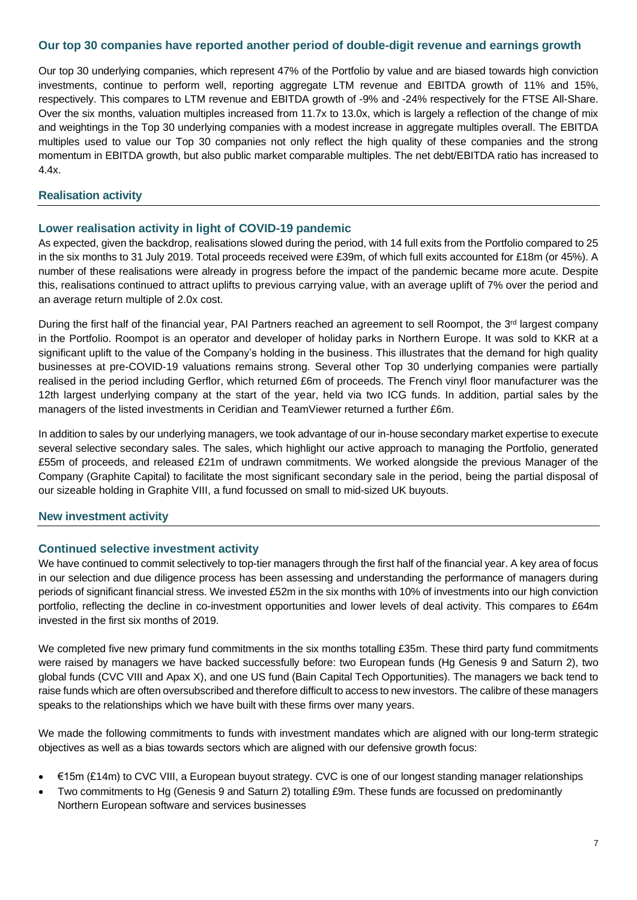### **Our top 30 companies have reported another period of double-digit revenue and earnings growth**

Our top 30 underlying companies, which represent 47% of the Portfolio by value and are biased towards high conviction investments, continue to perform well, reporting aggregate LTM revenue and EBITDA growth of 11% and 15%, respectively. This compares to LTM revenue and EBITDA growth of -9% and -24% respectively for the FTSE All-Share. Over the six months, valuation multiples increased from 11.7x to 13.0x, which is largely a reflection of the change of mix and weightings in the Top 30 underlying companies with a modest increase in aggregate multiples overall. The EBITDA multiples used to value our Top 30 companies not only reflect the high quality of these companies and the strong momentum in EBITDA growth, but also public market comparable multiples. The net debt/EBITDA ratio has increased to 4.4x.

### **Realisation activity**

### **Lower realisation activity in light of COVID-19 pandemic**

As expected, given the backdrop, realisations slowed during the period, with 14 full exits from the Portfolio compared to 25 in the six months to 31 July 2019. Total proceeds received were £39m, of which full exits accounted for £18m (or 45%). A number of these realisations were already in progress before the impact of the pandemic became more acute. Despite this, realisations continued to attract uplifts to previous carrying value, with an average uplift of 7% over the period and an average return multiple of 2.0x cost.

During the first half of the financial year, PAI Partners reached an agreement to sell Roompot, the 3<sup>rd</sup> largest company in the Portfolio. Roompot is an operator and developer of holiday parks in Northern Europe. It was sold to KKR at a significant uplift to the value of the Company's holding in the business. This illustrates that the demand for high quality businesses at pre-COVID-19 valuations remains strong. Several other Top 30 underlying companies were partially realised in the period including Gerflor, which returned £6m of proceeds. The French vinyl floor manufacturer was the 12th largest underlying company at the start of the year, held via two ICG funds. In addition, partial sales by the managers of the listed investments in Ceridian and TeamViewer returned a further £6m.

In addition to sales by our underlying managers, we took advantage of our in-house secondary market expertise to execute several selective secondary sales. The sales, which highlight our active approach to managing the Portfolio, generated £55m of proceeds, and released £21m of undrawn commitments. We worked alongside the previous Manager of the Company (Graphite Capital) to facilitate the most significant secondary sale in the period, being the partial disposal of our sizeable holding in Graphite VIII, a fund focussed on small to mid-sized UK buyouts.

### **New investment activity**

### **Continued selective investment activity**

We have continued to commit selectively to top-tier managers through the first half of the financial year. A key area of focus in our selection and due diligence process has been assessing and understanding the performance of managers during periods of significant financial stress. We invested £52m in the six months with 10% of investments into our high conviction portfolio, reflecting the decline in co-investment opportunities and lower levels of deal activity. This compares to £64m invested in the first six months of 2019.

We completed five new primary fund commitments in the six months totalling £35m. These third party fund commitments were raised by managers we have backed successfully before: two European funds (Hg Genesis 9 and Saturn 2), two global funds (CVC VIII and Apax X), and one US fund (Bain Capital Tech Opportunities). The managers we back tend to raise funds which are often oversubscribed and therefore difficult to access to new investors. The calibre of these managers speaks to the relationships which we have built with these firms over many years.

We made the following commitments to funds with investment mandates which are aligned with our long-term strategic objectives as well as a bias towards sectors which are aligned with our defensive growth focus:

- €15m (£14m) to CVC VIII, a European buyout strategy. CVC is one of our longest standing manager relationships
- Two commitments to Hg (Genesis 9 and Saturn 2) totalling £9m. These funds are focussed on predominantly Northern European software and services businesses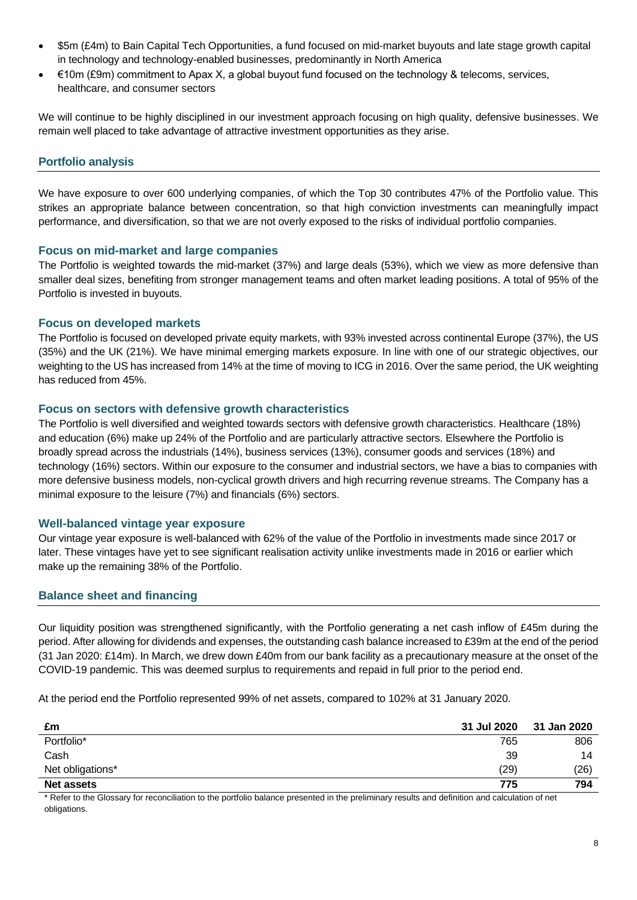- \$5m (£4m) to Bain Capital Tech Opportunities, a fund focused on mid-market buyouts and late stage growth capital in technology and technology-enabled businesses, predominantly in North America
- $\epsilon$ 10m (£9m) commitment to Apax X, a global buyout fund focused on the technology & telecoms, services, healthcare, and consumer sectors

We will continue to be highly disciplined in our investment approach focusing on high quality, defensive businesses. We remain well placed to take advantage of attractive investment opportunities as they arise.

### **Portfolio analysis**

We have exposure to over 600 underlying companies, of which the Top 30 contributes 47% of the Portfolio value. This strikes an appropriate balance between concentration, so that high conviction investments can meaningfully impact performance, and diversification, so that we are not overly exposed to the risks of individual portfolio companies.

### **Focus on mid-market and large companies**

The Portfolio is weighted towards the mid-market (37%) and large deals (53%), which we view as more defensive than smaller deal sizes, benefiting from stronger management teams and often market leading positions. A total of 95% of the Portfolio is invested in buyouts.

### **Focus on developed markets**

The Portfolio is focused on developed private equity markets, with 93% invested across continental Europe (37%), the US (35%) and the UK (21%). We have minimal emerging markets exposure. In line with one of our strategic objectives, our weighting to the US has increased from 14% at the time of moving to ICG in 2016. Over the same period, the UK weighting has reduced from 45%.

### **Focus on sectors with defensive growth characteristics**

The Portfolio is well diversified and weighted towards sectors with defensive growth characteristics. Healthcare (18%) and education (6%) make up 24% of the Portfolio and are particularly attractive sectors. Elsewhere the Portfolio is broadly spread across the industrials (14%), business services (13%), consumer goods and services (18%) and technology (16%) sectors. Within our exposure to the consumer and industrial sectors, we have a bias to companies with more defensive business models, non-cyclical growth drivers and high recurring revenue streams. The Company has a minimal exposure to the leisure (7%) and financials (6%) sectors.

### **Well-balanced vintage year exposure**

Our vintage year exposure is well-balanced with 62% of the value of the Portfolio in investments made since 2017 or later. These vintages have yet to see significant realisation activity unlike investments made in 2016 or earlier which make up the remaining 38% of the Portfolio.

### **Balance sheet and financing**

Our liquidity position was strengthened significantly, with the Portfolio generating a net cash inflow of £45m during the period. After allowing for dividends and expenses, the outstanding cash balance increased to £39m at the end of the period (31 Jan 2020: £14m). In March, we drew down £40m from our bank facility as a precautionary measure at the onset of the COVID-19 pandemic. This was deemed surplus to requirements and repaid in full prior to the period end.

At the period end the Portfolio represented 99% of net assets, compared to 102% at 31 January 2020.

| £m                | 31 Jul 2020 | 31 Jan 2020 |
|-------------------|-------------|-------------|
| Portfolio*        | 765         | 806         |
| Cash              | 39          | 14          |
| Net obligations*  | (29)        | (26)        |
| <b>Net assets</b> | 775         | 794         |

\* Refer to the Glossary for reconciliation to the portfolio balance presented in the preliminary results and definition and calculation of net obligations.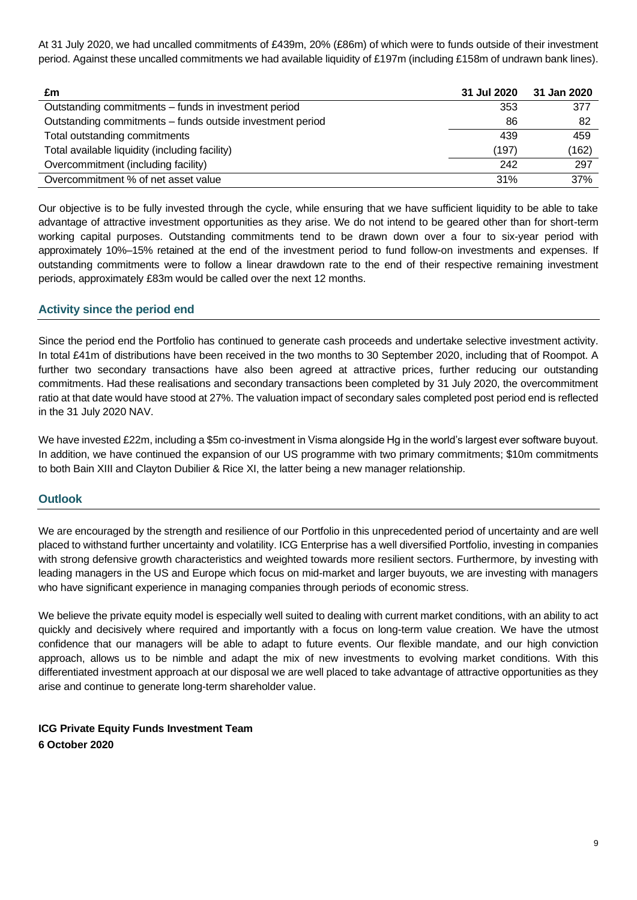At 31 July 2020, we had uncalled commitments of £439m, 20% (£86m) of which were to funds outside of their investment period. Against these uncalled commitments we had available liquidity of £197m (including £158m of undrawn bank lines).

| £m                                                        | 31 Jul 2020 | 31 Jan 2020 |
|-----------------------------------------------------------|-------------|-------------|
| Outstanding commitments – funds in investment period      | 353         | 377         |
| Outstanding commitments - funds outside investment period | 86          | 82          |
| Total outstanding commitments                             | 439         | 459         |
| Total available liquidity (including facility)            | (197)       | (162)       |
| Overcommitment (including facility)                       | 242         | 297         |
| Overcommitment % of net asset value                       | 31%         | 37%         |

Our objective is to be fully invested through the cycle, while ensuring that we have sufficient liquidity to be able to take advantage of attractive investment opportunities as they arise. We do not intend to be geared other than for short-term working capital purposes. Outstanding commitments tend to be drawn down over a four to six-year period with approximately 10%–15% retained at the end of the investment period to fund follow-on investments and expenses. If outstanding commitments were to follow a linear drawdown rate to the end of their respective remaining investment periods, approximately £83m would be called over the next 12 months.

### **Activity since the period end**

Since the period end the Portfolio has continued to generate cash proceeds and undertake selective investment activity. In total £41m of distributions have been received in the two months to 30 September 2020, including that of Roompot. A further two secondary transactions have also been agreed at attractive prices, further reducing our outstanding commitments. Had these realisations and secondary transactions been completed by 31 July 2020, the overcommitment ratio at that date would have stood at 27%. The valuation impact of secondary sales completed post period end is reflected in the 31 July 2020 NAV.

We have invested £22m, including a \$5m co-investment in Visma alongside Hg in the world's largest ever software buyout. In addition, we have continued the expansion of our US programme with two primary commitments; \$10m commitments to both Bain XIII and Clayton Dubilier & Rice XI, the latter being a new manager relationship.

### **Outlook**

We are encouraged by the strength and resilience of our Portfolio in this unprecedented period of uncertainty and are well placed to withstand further uncertainty and volatility. ICG Enterprise has a well diversified Portfolio, investing in companies with strong defensive growth characteristics and weighted towards more resilient sectors. Furthermore, by investing with leading managers in the US and Europe which focus on mid-market and larger buyouts, we are investing with managers who have significant experience in managing companies through periods of economic stress.

We believe the private equity model is especially well suited to dealing with current market conditions, with an ability to act quickly and decisively where required and importantly with a focus on long-term value creation. We have the utmost confidence that our managers will be able to adapt to future events. Our flexible mandate, and our high conviction approach, allows us to be nimble and adapt the mix of new investments to evolving market conditions. With this differentiated investment approach at our disposal we are well placed to take advantage of attractive opportunities as they arise and continue to generate long-term shareholder value.

**ICG Private Equity Funds Investment Team 6 October 2020**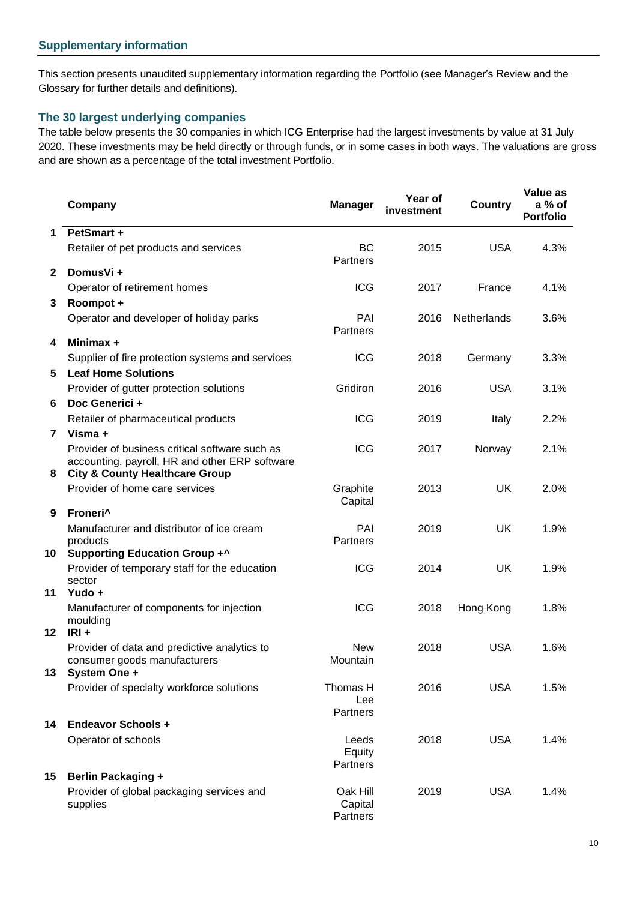This section presents unaudited supplementary information regarding the Portfolio (see Manager's Review and the Glossary for further details and definitions).

### **The 30 largest underlying companies**

The table below presents the 30 companies in which ICG Enterprise had the largest investments by value at 31 July 2020. These investments may be held directly or through funds, or in some cases in both ways. The valuations are gross and are shown as a percentage of the total investment Portfolio.

|              | Company                                                                                          | <b>Manager</b>                  | Year of<br>investment | <b>Country</b>     | Value as<br>a % of<br><b>Portfolio</b> |
|--------------|--------------------------------------------------------------------------------------------------|---------------------------------|-----------------------|--------------------|----------------------------------------|
| 1            | PetSmart +                                                                                       |                                 |                       |                    |                                        |
|              | Retailer of pet products and services                                                            | BC<br>Partners                  | 2015                  | <b>USA</b>         | 4.3%                                   |
| $\mathbf{2}$ | DomusVi +                                                                                        |                                 |                       |                    |                                        |
|              | Operator of retirement homes                                                                     | <b>ICG</b>                      | 2017                  | France             | 4.1%                                   |
| 3            | Roompot +                                                                                        |                                 |                       |                    |                                        |
|              | Operator and developer of holiday parks                                                          | PAI<br>Partners                 | 2016                  | <b>Netherlands</b> | 3.6%                                   |
| 4            | Minimax +                                                                                        |                                 |                       |                    |                                        |
|              | Supplier of fire protection systems and services                                                 | <b>ICG</b>                      | 2018                  | Germany            | 3.3%                                   |
| 5            | <b>Leaf Home Solutions</b>                                                                       |                                 |                       |                    |                                        |
|              | Provider of gutter protection solutions                                                          | Gridiron                        | 2016                  | <b>USA</b>         | 3.1%                                   |
| 6            | Doc Generici +                                                                                   |                                 |                       |                    |                                        |
|              | Retailer of pharmaceutical products                                                              | <b>ICG</b>                      | 2019                  | Italy              | 2.2%                                   |
| $\mathbf{7}$ | Visma +                                                                                          |                                 |                       |                    |                                        |
|              | Provider of business critical software such as<br>accounting, payroll, HR and other ERP software | <b>ICG</b>                      | 2017                  | Norway             | 2.1%                                   |
| 8            | <b>City &amp; County Healthcare Group</b>                                                        |                                 |                       |                    |                                        |
|              | Provider of home care services                                                                   | Graphite<br>Capital             | 2013                  | <b>UK</b>          | 2.0%                                   |
| 9            | Froneri <sup>^</sup>                                                                             |                                 |                       |                    |                                        |
|              | Manufacturer and distributor of ice cream                                                        | PAI                             | 2019                  | <b>UK</b>          | 1.9%                                   |
| 10           | products<br><b>Supporting Education Group +^</b>                                                 | Partners                        |                       |                    |                                        |
|              | Provider of temporary staff for the education<br>sector                                          | <b>ICG</b>                      | 2014                  | <b>UK</b>          | 1.9%                                   |
| 11           | Yudo +                                                                                           |                                 |                       |                    |                                        |
|              | Manufacturer of components for injection<br>moulding                                             | <b>ICG</b>                      | 2018                  | Hong Kong          | 1.8%                                   |
| 12           | $IRI +$                                                                                          |                                 |                       |                    |                                        |
| 13           | Provider of data and predictive analytics to<br>consumer goods manufacturers<br>System One +     | <b>New</b><br>Mountain          | 2018                  | <b>USA</b>         | 1.6%                                   |
|              | Provider of specialty workforce solutions                                                        | Thomas H<br>Lee                 | 2016                  | <b>USA</b>         | 1.5%                                   |
|              |                                                                                                  | Partners                        |                       |                    |                                        |
| 14           | <b>Endeavor Schools +</b>                                                                        |                                 |                       |                    |                                        |
|              | Operator of schools                                                                              | Leeds<br>Equity<br>Partners     | 2018                  | <b>USA</b>         | 1.4%                                   |
| 15           | <b>Berlin Packaging +</b>                                                                        |                                 |                       |                    |                                        |
|              | Provider of global packaging services and<br>supplies                                            | Oak Hill<br>Capital<br>Partners | 2019                  | <b>USA</b>         | 1.4%                                   |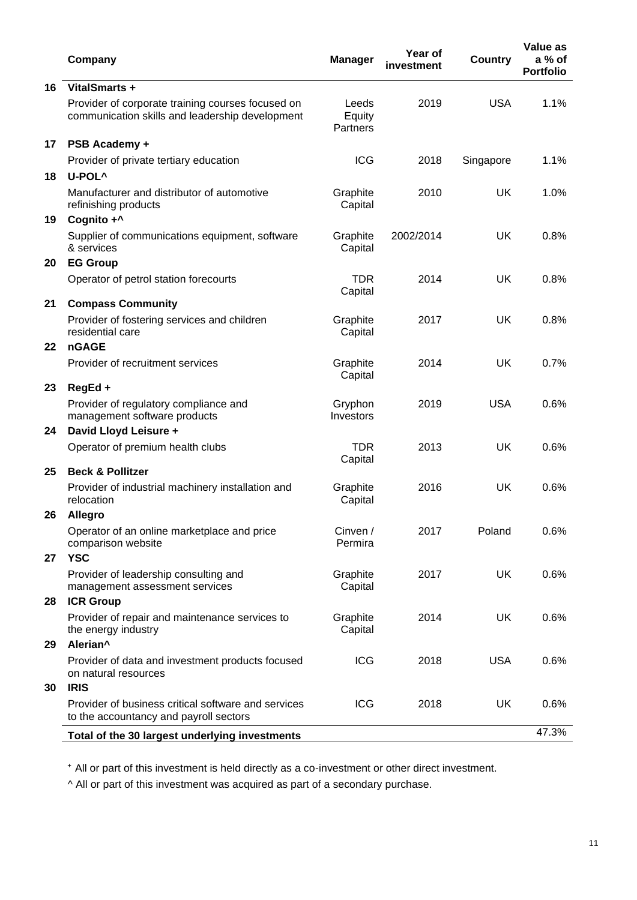|    | Company                                                                                              | <b>Manager</b>              | Year of<br>investment | <b>Country</b> | Value as<br>a % of<br><b>Portfolio</b> |
|----|------------------------------------------------------------------------------------------------------|-----------------------------|-----------------------|----------------|----------------------------------------|
| 16 | VitalSmarts +                                                                                        |                             |                       |                |                                        |
|    | Provider of corporate training courses focused on<br>communication skills and leadership development | Leeds<br>Equity<br>Partners | 2019                  | <b>USA</b>     | 1.1%                                   |
| 17 | PSB Academy +                                                                                        |                             |                       |                |                                        |
|    | Provider of private tertiary education                                                               | <b>ICG</b>                  | 2018                  | Singapore      | 1.1%                                   |
| 18 | U-POL^                                                                                               |                             |                       |                |                                        |
|    | Manufacturer and distributor of automotive<br>refinishing products                                   | Graphite<br>Capital         | 2010                  | UK             | 1.0%                                   |
| 19 | Cognito +^                                                                                           |                             |                       |                |                                        |
|    | Supplier of communications equipment, software<br>& services                                         | Graphite<br>Capital         | 2002/2014             | <b>UK</b>      | 0.8%                                   |
| 20 | <b>EG Group</b>                                                                                      |                             |                       |                |                                        |
|    | Operator of petrol station forecourts                                                                | <b>TDR</b><br>Capital       | 2014                  | UK             | 0.8%                                   |
| 21 | <b>Compass Community</b>                                                                             |                             |                       |                |                                        |
|    | Provider of fostering services and children<br>residential care                                      | Graphite<br>Capital         | 2017                  | <b>UK</b>      | 0.8%                                   |
| 22 | <b>nGAGE</b>                                                                                         |                             |                       |                |                                        |
|    | Provider of recruitment services                                                                     | Graphite<br>Capital         | 2014                  | UK             | 0.7%                                   |
| 23 | RegEd +                                                                                              |                             |                       |                |                                        |
|    | Provider of regulatory compliance and<br>management software products                                | Gryphon<br>Investors        | 2019                  | <b>USA</b>     | 0.6%                                   |
| 24 | David Lloyd Leisure +                                                                                |                             |                       |                |                                        |
|    | Operator of premium health clubs<br><b>Beck &amp; Pollitzer</b>                                      | <b>TDR</b><br>Capital       | 2013                  | <b>UK</b>      | 0.6%                                   |
| 25 |                                                                                                      |                             |                       |                |                                        |
| 26 | Provider of industrial machinery installation and<br>relocation                                      | Graphite<br>Capital         | 2016                  | UK             | 0.6%                                   |
|    | <b>Allegro</b>                                                                                       | Cinven /                    | 2017                  | Poland         | 0.6%                                   |
| 27 | Operator of an online marketplace and price<br>comparison website<br><b>YSC</b>                      | Permira                     |                       |                |                                        |
|    | Provider of leadership consulting and                                                                | Graphite                    | 2017                  | <b>UK</b>      | 0.6%                                   |
|    | management assessment services                                                                       | Capital                     |                       |                |                                        |
| 28 | <b>ICR Group</b>                                                                                     |                             |                       |                |                                        |
|    | Provider of repair and maintenance services to<br>the energy industry                                | Graphite<br>Capital         | 2014                  | <b>UK</b>      | 0.6%                                   |
| 29 | Alerian <sup>^</sup>                                                                                 |                             |                       |                |                                        |
|    | Provider of data and investment products focused<br>on natural resources                             | <b>ICG</b>                  | 2018                  | <b>USA</b>     | 0.6%                                   |
| 30 | <b>IRIS</b>                                                                                          |                             |                       |                |                                        |
|    | Provider of business critical software and services<br>to the accountancy and payroll sectors        | <b>ICG</b>                  | 2018                  | UK             | 0.6%                                   |
|    | Total of the 30 largest underlying investments                                                       |                             |                       |                | 47.3%                                  |

⁺ All or part of this investment is held directly as a co-investment or other direct investment.

^ All or part of this investment was acquired as part of a secondary purchase.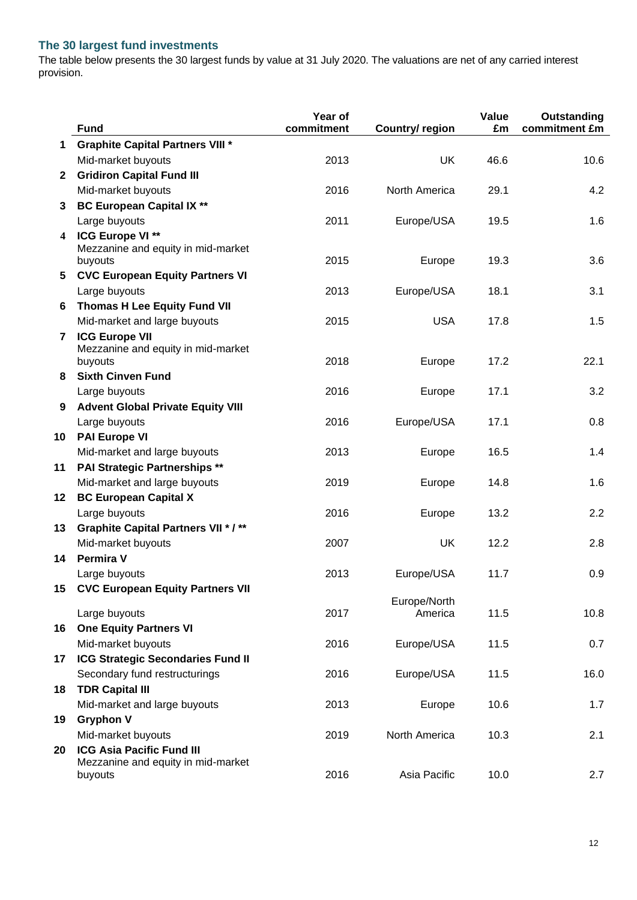# **The 30 largest fund investments**

The table below presents the 30 largest funds by value at 31 July 2020. The valuations are net of any carried interest provision.

|                |                                                                                   | Year of    |                         | Value | Outstanding   |
|----------------|-----------------------------------------------------------------------------------|------------|-------------------------|-------|---------------|
|                | <b>Fund</b>                                                                       | commitment | Country/ region         | £m    | commitment £m |
| $\mathbf 1$    | <b>Graphite Capital Partners VIII *</b>                                           |            |                         |       |               |
|                | Mid-market buyouts                                                                | 2013       | <b>UK</b>               | 46.6  | 10.6          |
| $\mathbf{2}$   | <b>Gridiron Capital Fund III</b>                                                  |            |                         |       |               |
|                | Mid-market buyouts                                                                | 2016       | North America           | 29.1  | 4.2           |
| 3.             | <b>BC European Capital IX **</b>                                                  |            |                         |       |               |
|                | Large buyouts                                                                     | 2011       | Europe/USA              | 19.5  | 1.6           |
| $\overline{4}$ | <b>ICG Europe VI**</b><br>Mezzanine and equity in mid-market<br>buyouts           | 2015       | Europe                  | 19.3  | 3.6           |
| 5.             | <b>CVC European Equity Partners VI</b>                                            |            |                         |       |               |
|                | Large buyouts                                                                     | 2013       | Europe/USA              | 18.1  | 3.1           |
| 6              | <b>Thomas H Lee Equity Fund VII</b>                                               |            |                         |       |               |
|                | Mid-market and large buyouts                                                      | 2015       | <b>USA</b>              | 17.8  | 1.5           |
| $\mathbf{7}$   | <b>ICG Europe VII</b><br>Mezzanine and equity in mid-market<br>buyouts            | 2018       | Europe                  | 17.2  | 22.1          |
| 8              | <b>Sixth Cinven Fund</b>                                                          |            |                         |       |               |
|                | Large buyouts                                                                     | 2016       | Europe                  | 17.1  | 3.2           |
| 9              | <b>Advent Global Private Equity VIII</b>                                          |            |                         |       |               |
|                | Large buyouts                                                                     | 2016       | Europe/USA              | 17.1  | 0.8           |
| 10             | <b>PAI Europe VI</b>                                                              |            |                         |       |               |
|                | Mid-market and large buyouts                                                      | 2013       | Europe                  | 16.5  | 1.4           |
| 11             | <b>PAI Strategic Partnerships **</b>                                              |            |                         |       |               |
|                | Mid-market and large buyouts                                                      | 2019       | Europe                  | 14.8  | 1.6           |
| 12             | <b>BC European Capital X</b>                                                      |            |                         |       |               |
|                | Large buyouts                                                                     | 2016       | Europe                  | 13.2  | 2.2           |
| 13             | <b>Graphite Capital Partners VII * / **</b>                                       |            |                         |       |               |
|                | Mid-market buyouts                                                                | 2007       | UK                      | 12.2  | 2.8           |
| 14             | <b>Permira V</b>                                                                  |            |                         |       |               |
|                | Large buyouts                                                                     | 2013       | Europe/USA              | 11.7  | 0.9           |
|                | 15 CVC European Equity Partners VII                                               |            |                         |       |               |
|                | Large buyouts                                                                     | 2017       | Europe/North<br>America | 11.5  | 10.8          |
| 16             | <b>One Equity Partners VI</b>                                                     |            |                         |       |               |
|                | Mid-market buyouts                                                                | 2016       | Europe/USA              | 11.5  | 0.7           |
| 17             | <b>ICG Strategic Secondaries Fund II</b>                                          |            |                         |       |               |
|                | Secondary fund restructurings                                                     | 2016       | Europe/USA              | 11.5  | 16.0          |
| 18             | <b>TDR Capital III</b>                                                            |            |                         |       |               |
|                | Mid-market and large buyouts                                                      | 2013       | Europe                  | 10.6  | 1.7           |
| 19             | <b>Gryphon V</b>                                                                  |            |                         |       |               |
|                | Mid-market buyouts                                                                | 2019       | North America           | 10.3  | 2.1           |
| 20             | <b>ICG Asia Pacific Fund III</b><br>Mezzanine and equity in mid-market<br>buyouts | 2016       | Asia Pacific            | 10.0  | 2.7           |
|                |                                                                                   |            |                         |       |               |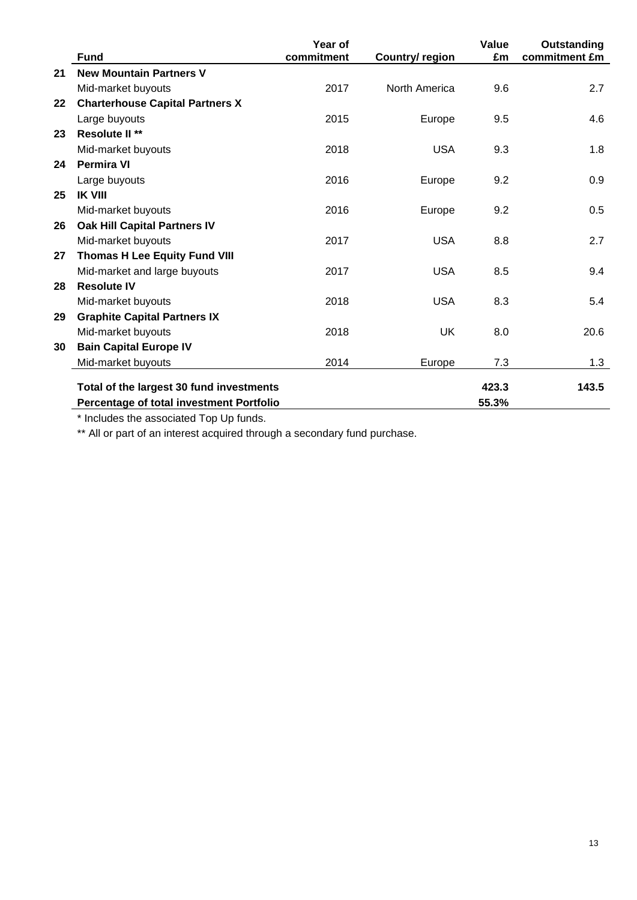|    | <b>Fund</b>                              | Year of<br>commitment | Country/ region | Value<br>£m | <b>Outstanding</b><br>commitment £m |
|----|------------------------------------------|-----------------------|-----------------|-------------|-------------------------------------|
|    |                                          |                       |                 |             |                                     |
| 21 | <b>New Mountain Partners V</b>           |                       |                 |             |                                     |
|    | Mid-market buyouts                       | 2017                  | North America   | 9.6         | 2.7                                 |
| 22 | <b>Charterhouse Capital Partners X</b>   |                       |                 |             |                                     |
|    | Large buyouts                            | 2015                  | Europe          | 9.5         | 4.6                                 |
| 23 | <b>Resolute II **</b>                    |                       |                 |             |                                     |
|    | Mid-market buyouts                       | 2018                  | <b>USA</b>      | 9.3         | 1.8                                 |
| 24 | <b>Permira VI</b>                        |                       |                 |             |                                     |
|    | Large buyouts                            | 2016                  | Europe          | 9.2         | 0.9                                 |
| 25 | <b>IK VIII</b>                           |                       |                 |             |                                     |
|    | Mid-market buyouts                       | 2016                  | Europe          | 9.2         | 0.5                                 |
| 26 | <b>Oak Hill Capital Partners IV</b>      |                       |                 |             |                                     |
|    | Mid-market buyouts                       | 2017                  | <b>USA</b>      | 8.8         | 2.7                                 |
| 27 | <b>Thomas H Lee Equity Fund VIII</b>     |                       |                 |             |                                     |
|    | Mid-market and large buyouts             | 2017                  | <b>USA</b>      | 8.5         | 9.4                                 |
| 28 | <b>Resolute IV</b>                       |                       |                 |             |                                     |
|    | Mid-market buyouts                       | 2018                  | <b>USA</b>      | 8.3         | 5.4                                 |
| 29 | <b>Graphite Capital Partners IX</b>      |                       |                 |             |                                     |
|    | Mid-market buyouts                       | 2018                  | UK              | 8.0         | 20.6                                |
| 30 | <b>Bain Capital Europe IV</b>            |                       |                 |             |                                     |
|    | Mid-market buyouts                       | 2014                  | Europe          | 7.3         | 1.3                                 |
|    |                                          |                       |                 | 423.3       | 143.5                               |
|    | Total of the largest 30 fund investments |                       |                 |             |                                     |
|    | Percentage of total investment Portfolio |                       |                 | 55.3%       |                                     |

\* Includes the associated Top Up funds.

\*\* All or part of an interest acquired through a secondary fund purchase.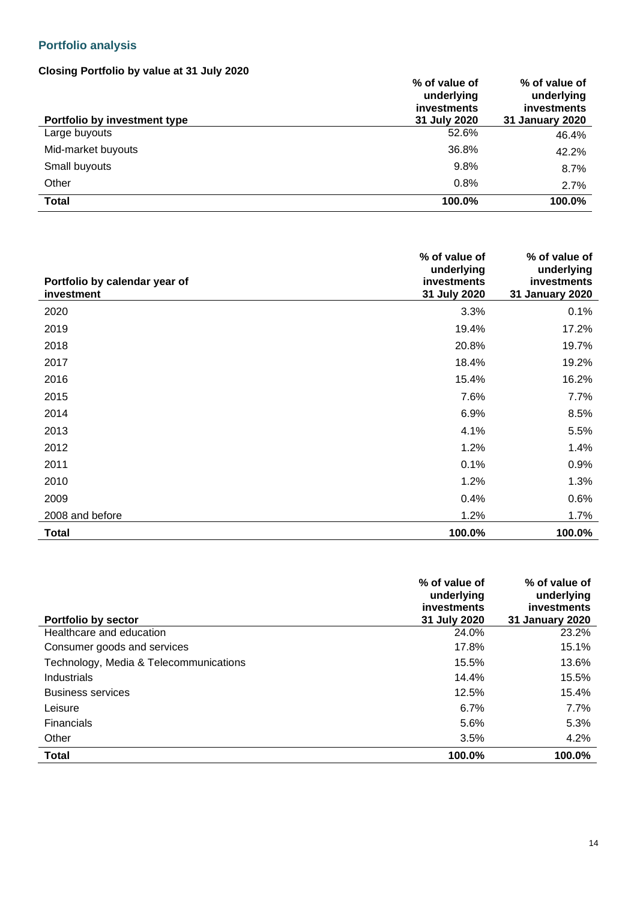# **Portfolio analysis**

# **Closing Portfolio by value at 31 July 2020**

|                              | % of value of<br>underlying<br><b>investments</b> | % of value of<br>underlying<br><b>investments</b> |
|------------------------------|---------------------------------------------------|---------------------------------------------------|
| Portfolio by investment type | 31 July 2020                                      | 31 January 2020                                   |
| Large buyouts                | 52.6%                                             | 46.4%                                             |
| Mid-market buyouts           | 36.8%                                             | 42.2%                                             |
| Small buyouts                | 9.8%                                              | 8.7%                                              |
| Other                        | 0.8%                                              | 2.7%                                              |
| <b>Total</b>                 | 100.0%                                            | 100.0%                                            |

| Portfolio by calendar year of | % of value of<br>underlying<br>investments | % of value of<br>underlying<br>investments |
|-------------------------------|--------------------------------------------|--------------------------------------------|
| investment                    | 31 July 2020                               | 31 January 2020                            |
| 2020                          | 3.3%                                       | 0.1%                                       |
| 2019                          | 19.4%                                      | 17.2%                                      |
| 2018                          | 20.8%                                      | 19.7%                                      |
| 2017                          | 18.4%                                      | 19.2%                                      |
| 2016                          | 15.4%                                      | 16.2%                                      |
| 2015                          | 7.6%                                       | 7.7%                                       |
| 2014                          | 6.9%                                       | 8.5%                                       |
| 2013                          | 4.1%                                       | 5.5%                                       |
| 2012                          | 1.2%                                       | 1.4%                                       |
| 2011                          | 0.1%                                       | 0.9%                                       |
| 2010                          | 1.2%                                       | 1.3%                                       |
| 2009                          | 0.4%                                       | 0.6%                                       |
| 2008 and before               | 1.2%                                       | 1.7%                                       |
| Total                         | 100.0%                                     | 100.0%                                     |

|                                        | % of value of<br>underlying<br>investments | % of value of<br>underlying<br>investments |
|----------------------------------------|--------------------------------------------|--------------------------------------------|
| Portfolio by sector                    | 31 July 2020                               | 31 January 2020                            |
| Healthcare and education               | 24.0%                                      | 23.2%                                      |
| Consumer goods and services            | 17.8%                                      | 15.1%                                      |
| Technology, Media & Telecommunications | 15.5%                                      | 13.6%                                      |
| Industrials                            | 14.4%                                      | 15.5%                                      |
| <b>Business services</b>               | 12.5%                                      | 15.4%                                      |
| Leisure                                | 6.7%                                       | 7.7%                                       |
| <b>Financials</b>                      | 5.6%                                       | 5.3%                                       |
| Other                                  | 3.5%                                       | 4.2%                                       |
| <b>Total</b>                           | 100.0%                                     | 100.0%                                     |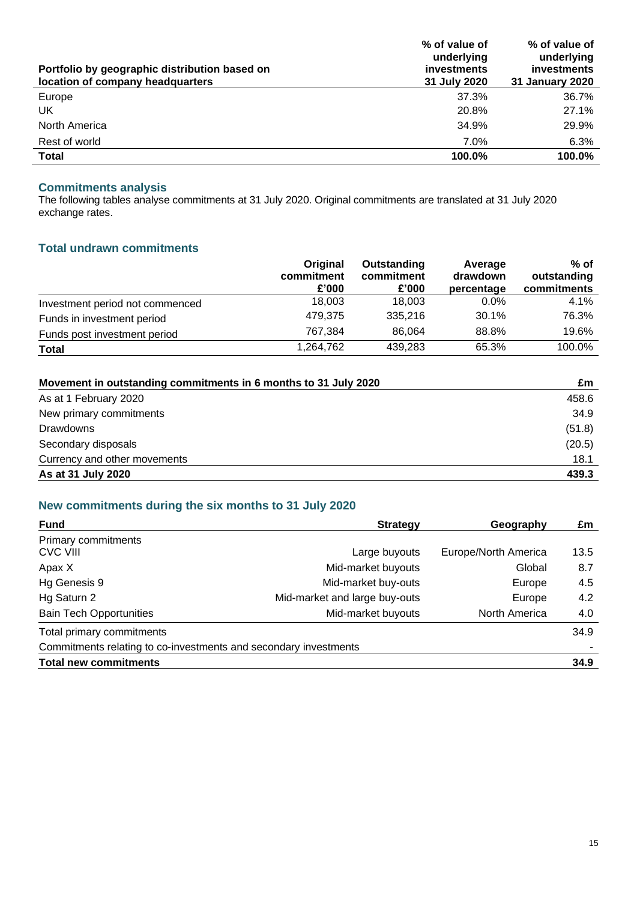| Portfolio by geographic distribution based on<br>location of company headquarters | % of value of<br>underlying<br>investments<br>31 July 2020 | % of value of<br>underlying<br>investments<br>31 January 2020 |
|-----------------------------------------------------------------------------------|------------------------------------------------------------|---------------------------------------------------------------|
| Europe                                                                            | 37.3%                                                      | 36.7%                                                         |
| UK                                                                                | 20.8%                                                      | 27.1%                                                         |
| North America                                                                     | 34.9%                                                      | 29.9%                                                         |
| Rest of world                                                                     | $7.0\%$                                                    | 6.3%                                                          |
| <b>Total</b>                                                                      | 100.0%                                                     | 100.0%                                                        |

### **Commitments analysis**

The following tables analyse commitments at 31 July 2020. Original commitments are translated at 31 July 2020 exchange rates.

### **Total undrawn commitments**

|                                 | Original<br>commitment<br>£'000 | Outstanding<br>commitment<br>£'000 | Average<br>drawdown<br>percentage | $%$ of<br>outstanding<br>commitments |
|---------------------------------|---------------------------------|------------------------------------|-----------------------------------|--------------------------------------|
| Investment period not commenced | 18,003                          | 18,003                             | $0.0\%$                           | 4.1%                                 |
| Funds in investment period      | 479,375                         | 335,216                            | 30.1%                             | 76.3%                                |
| Funds post investment period    | 767,384                         | 86.064                             | 88.8%                             | 19.6%                                |
| <b>Total</b>                    | 1,264,762                       | 439,283                            | 65.3%                             | 100.0%                               |

| Movement in outstanding commitments in 6 months to 31 July 2020 | £m     |
|-----------------------------------------------------------------|--------|
| As at 1 February 2020                                           | 458.6  |
| New primary commitments                                         | 34.9   |
| <b>Drawdowns</b>                                                | (51.8) |
| Secondary disposals                                             | (20.5) |
| Currency and other movements                                    | 18.1   |
| As at 31 July 2020                                              | 439.3  |

# **New commitments during the six months to 31 July 2020**

| <b>Fund</b>                                                      | <b>Strategy</b>               | Geography            | £m   |
|------------------------------------------------------------------|-------------------------------|----------------------|------|
| <b>Primary commitments</b>                                       |                               |                      |      |
| <b>CVC VIII</b>                                                  | Large buyouts                 | Europe/North America | 13.5 |
| Apax X                                                           | Mid-market buyouts            | Global               | 8.7  |
| Hg Genesis 9                                                     | Mid-market buy-outs           | Europe               | 4.5  |
| Hg Saturn 2                                                      | Mid-market and large buy-outs | Europe               | 4.2  |
| <b>Bain Tech Opportunities</b>                                   | Mid-market buyouts            | North America        | 4.0  |
| Total primary commitments                                        |                               |                      | 34.9 |
| Commitments relating to co-investments and secondary investments |                               |                      |      |
| <b>Total new commitments</b>                                     |                               |                      | 34.9 |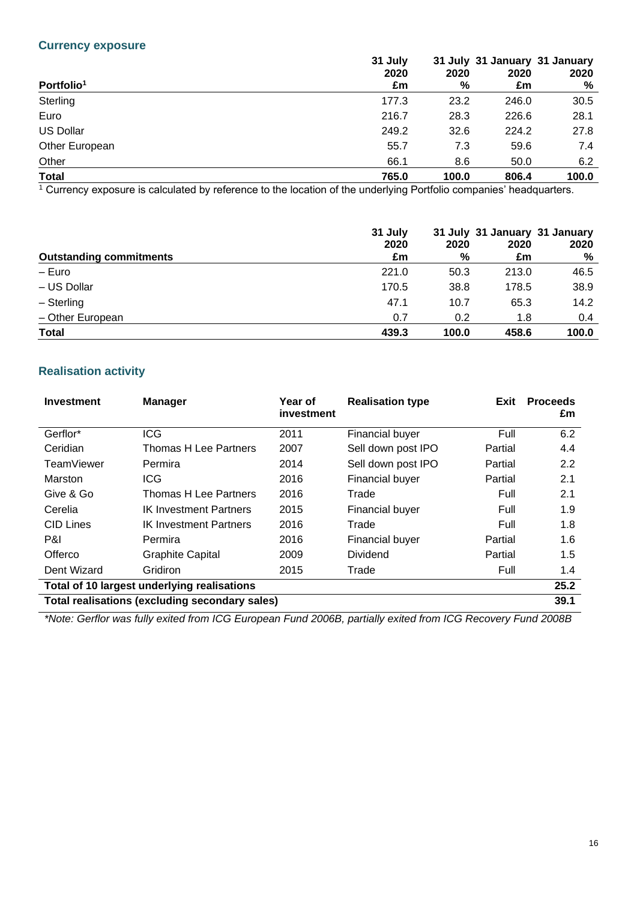### **Currency exposure**

| 2020 | 2020  | 2020                                           |
|------|-------|------------------------------------------------|
| %    | £m    | %                                              |
| 23.2 | 246.0 | 30.5                                           |
| 28.3 | 226.6 | 28.1                                           |
| 32.6 |       | 27.8                                           |
| 7.3  |       | 7.4                                            |
|      |       | 6.2                                            |
|      |       | 100.0                                          |
|      |       | 224.2<br>59.6<br>8.6<br>50.0<br>100.0<br>806.4 |

<sup>1</sup> Currency exposure is calculated by reference to the location of the underlying Portfolio companies' headquarters.

|                                | 31 July<br>2020 | 2020  | 2020  | 31 July 31 January 31 January<br>2020 |
|--------------------------------|-----------------|-------|-------|---------------------------------------|
| <b>Outstanding commitments</b> | £m              | %     | £m    | %                                     |
| – Euro                         | 221.0           | 50.3  | 213.0 | 46.5                                  |
| - US Dollar                    | 170.5           | 38.8  | 178.5 | 38.9                                  |
| $-$ Sterling                   | 47.1            | 10.7  | 65.3  | 14.2                                  |
| - Other European               | 0.7             | 0.2   | 1.8   | 0.4                                   |
| <b>Total</b>                   | 439.3           | 100.0 | 458.6 | 100.0                                 |

# **Realisation activity**

| Investment       | <b>Manager</b>                                 | Year of<br>investment | <b>Realisation type</b> | Exit    | <b>Proceeds</b><br>£m |
|------------------|------------------------------------------------|-----------------------|-------------------------|---------|-----------------------|
| Gerflor*         | <b>ICG</b>                                     | 2011                  | Financial buyer         | Full    | 6.2                   |
| Ceridian         | Thomas H Lee Partners                          | 2007                  | Sell down post IPO      | Partial | 4.4                   |
| TeamViewer       | Permira                                        | 2014                  | Sell down post IPO      | Partial | 2.2                   |
| Marston          | <b>ICG</b>                                     | 2016                  | Financial buyer         | Partial | 2.1                   |
| Give & Go        | Thomas H Lee Partners                          | 2016                  | Trade                   | Full    | 2.1                   |
| Cerelia          | <b>IK Investment Partners</b>                  | 2015                  | <b>Financial buyer</b>  | Full    | 1.9                   |
| <b>CID Lines</b> | <b>IK Investment Partners</b>                  | 2016                  | Trade                   | Full    | 1.8                   |
| P&I              | Permira                                        | 2016                  | <b>Financial buyer</b>  | Partial | 1.6                   |
| Offerco          | <b>Graphite Capital</b>                        | 2009                  | <b>Dividend</b>         | Partial | 1.5                   |
| Dent Wizard      | Gridiron                                       | 2015                  | Trade                   | Full    | 1.4                   |
|                  | Total of 10 largest underlying realisations    |                       |                         |         | 25.2                  |
|                  | Total realisations (excluding secondary sales) |                       |                         |         | 39.1                  |

*\*Note: Gerflor was fully exited from ICG European Fund 2006B, partially exited from ICG Recovery Fund 2008B*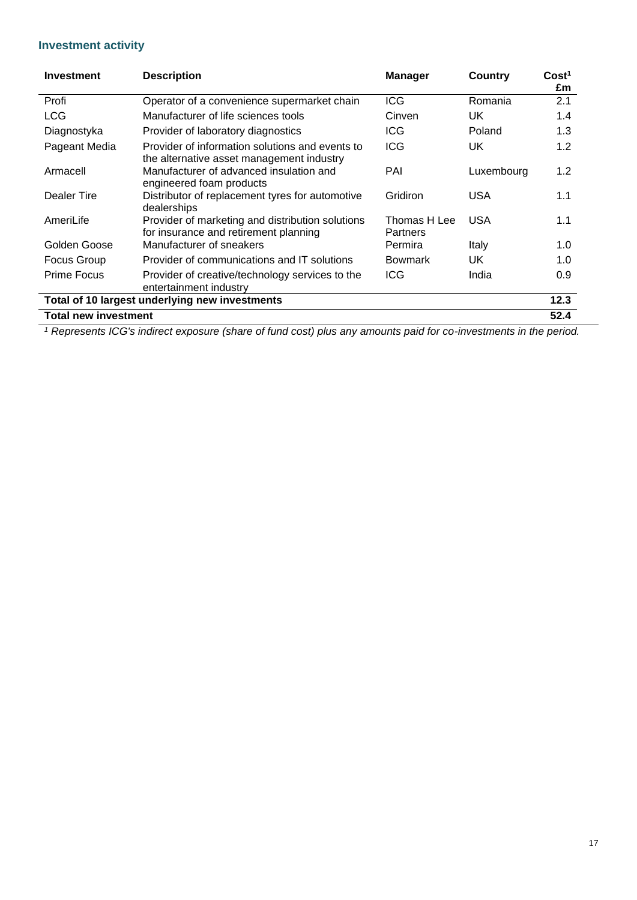# **Investment activity**

| <b>Investment</b>           | <b>Description</b>                                                                           | <b>Manager</b>           | Country    | Cost <sup>1</sup><br>£m |
|-----------------------------|----------------------------------------------------------------------------------------------|--------------------------|------------|-------------------------|
| Profi                       | Operator of a convenience supermarket chain                                                  | <b>ICG</b>               | Romania    | 2.1                     |
| <b>LCG</b>                  | Manufacturer of life sciences tools                                                          | Cinven                   | UK.        | 1.4                     |
| Diagnostyka                 | Provider of laboratory diagnostics                                                           | <b>ICG</b>               | Poland     | 1.3                     |
| Pageant Media               | Provider of information solutions and events to<br>the alternative asset management industry | <b>ICG</b>               | UK.        | 1.2                     |
| Armacell                    | Manufacturer of advanced insulation and<br>engineered foam products                          | PAI                      | Luxembourg | 1.2                     |
| Dealer Tire                 | Distributor of replacement tyres for automotive<br>dealerships                               | Gridiron                 | <b>USA</b> | 1.1                     |
| AmeriLife                   | Provider of marketing and distribution solutions<br>for insurance and retirement planning    | Thomas H Lee<br>Partners | <b>USA</b> | 1.1                     |
| Golden Goose                | Manufacturer of sneakers                                                                     | Permira                  | Italy      | 1.0                     |
| Focus Group                 | Provider of communications and IT solutions                                                  | <b>Bowmark</b>           | UK.        | 1.0                     |
| Prime Focus                 | Provider of creative/technology services to the<br>entertainment industry                    | <b>ICG</b>               | India      | 0.9                     |
|                             | Total of 10 largest underlying new investments                                               |                          |            | 12.3                    |
| <b>Total new investment</b> |                                                                                              |                          |            | 52.4                    |

*<sup>1</sup> Represents ICG's indirect exposure (share of fund cost) plus any amounts paid for co-investments in the period.*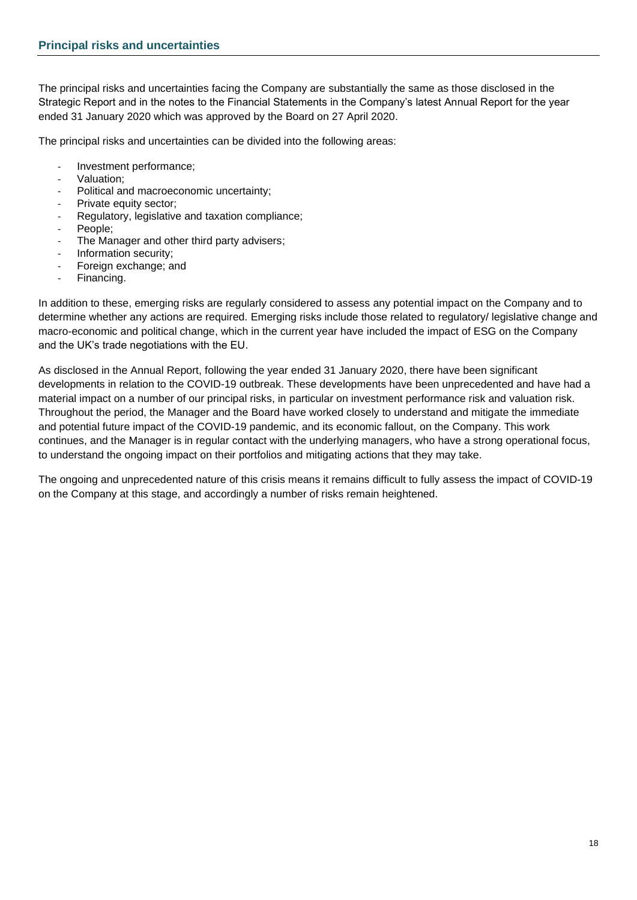The principal risks and uncertainties facing the Company are substantially the same as those disclosed in the Strategic Report and in the notes to the Financial Statements in the Company's latest Annual Report for the year ended 31 January 2020 which was approved by the Board on 27 April 2020.

The principal risks and uncertainties can be divided into the following areas:

- Investment performance;
- Valuation;
- Political and macroeconomic uncertainty;
- Private equity sector;
- Regulatory, legislative and taxation compliance;
- People;
- The Manager and other third party advisers:
- Information security;
- Foreign exchange; and
- Financing.

In addition to these, emerging risks are regularly considered to assess any potential impact on the Company and to determine whether any actions are required. Emerging risks include those related to regulatory/ legislative change and macro-economic and political change, which in the current year have included the impact of ESG on the Company and the UK's trade negotiations with the EU.

As disclosed in the Annual Report, following the year ended 31 January 2020, there have been significant developments in relation to the COVID-19 outbreak. These developments have been unprecedented and have had a material impact on a number of our principal risks, in particular on investment performance risk and valuation risk. Throughout the period, the Manager and the Board have worked closely to understand and mitigate the immediate and potential future impact of the COVID-19 pandemic, and its economic fallout, on the Company. This work continues, and the Manager is in regular contact with the underlying managers, who have a strong operational focus, to understand the ongoing impact on their portfolios and mitigating actions that they may take.

The ongoing and unprecedented nature of this crisis means it remains difficult to fully assess the impact of COVID-19 on the Company at this stage, and accordingly a number of risks remain heightened.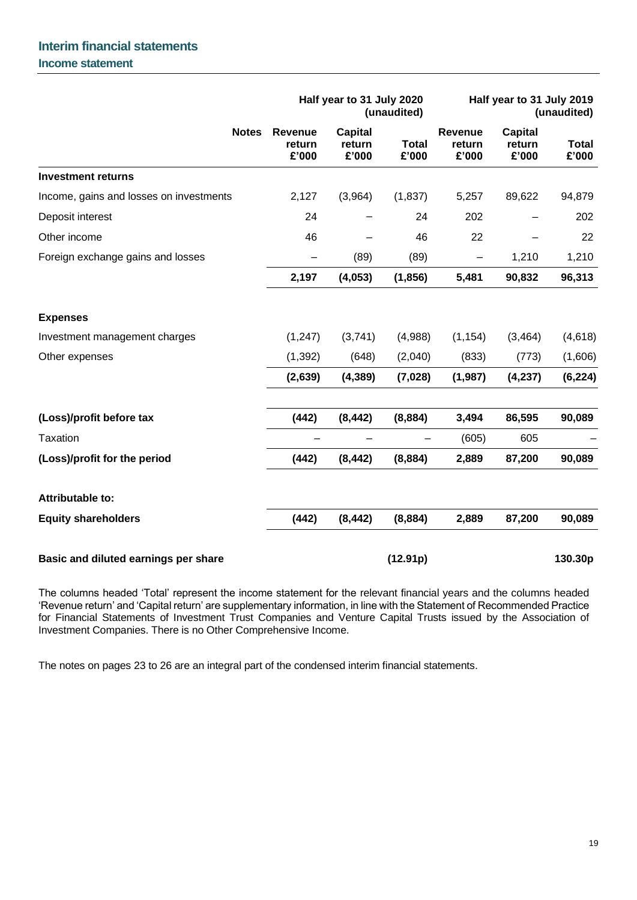|                                         |                            | Half year to 31 July 2020  | (unaudited)           |                            | Half year to 31 July 2019         | (unaudited)           |
|-----------------------------------------|----------------------------|----------------------------|-----------------------|----------------------------|-----------------------------------|-----------------------|
| <b>Notes</b>                            | Revenue<br>return<br>£'000 | Capital<br>return<br>£'000 | <b>Total</b><br>£'000 | Revenue<br>return<br>£'000 | <b>Capital</b><br>return<br>£'000 | <b>Total</b><br>£'000 |
| <b>Investment returns</b>               |                            |                            |                       |                            |                                   |                       |
| Income, gains and losses on investments | 2,127                      | (3,964)                    | (1,837)               | 5,257                      | 89,622                            | 94,879                |
| Deposit interest                        | 24                         |                            | 24                    | 202                        |                                   | 202                   |
| Other income                            | 46                         |                            | 46                    | 22                         |                                   | 22                    |
| Foreign exchange gains and losses       |                            | (89)                       | (89)                  |                            | 1,210                             | 1,210                 |
|                                         | 2,197                      | (4,053)                    | (1, 856)              | 5,481                      | 90,832                            | 96,313                |
| <b>Expenses</b>                         |                            |                            |                       |                            |                                   |                       |
| Investment management charges           | (1,247)                    | (3,741)                    | (4,988)               | (1, 154)                   | (3, 464)                          | (4,618)               |
| Other expenses                          | (1, 392)                   | (648)                      | (2,040)               | (833)                      | (773)                             | (1,606)               |
|                                         | (2,639)                    | (4, 389)                   | (7,028)               | (1,987)                    | (4,237)                           | (6, 224)              |
| (Loss)/profit before tax                | (442)                      | (8, 442)                   | (8,884)               | 3,494                      | 86,595                            | 90,089                |
| Taxation                                |                            |                            |                       | (605)                      | 605                               |                       |
| (Loss)/profit for the period            | (442)                      | (8, 442)                   | (8,884)               | 2,889                      | 87,200                            | 90,089                |
| <b>Attributable to:</b>                 |                            |                            |                       |                            |                                   |                       |
| <b>Equity shareholders</b>              | (442)                      | (8, 442)                   | (8,884)               | 2,889                      | 87,200                            | 90,089                |
| Basic and diluted earnings per share    |                            |                            | (12.91p)              |                            |                                   | 130.30p               |

The columns headed 'Total' represent the income statement for the relevant financial years and the columns headed 'Revenue return' and 'Capital return' are supplementary information, in line with the Statement of Recommended Practice for Financial Statements of Investment Trust Companies and Venture Capital Trusts issued by the Association of Investment Companies. There is no Other Comprehensive Income.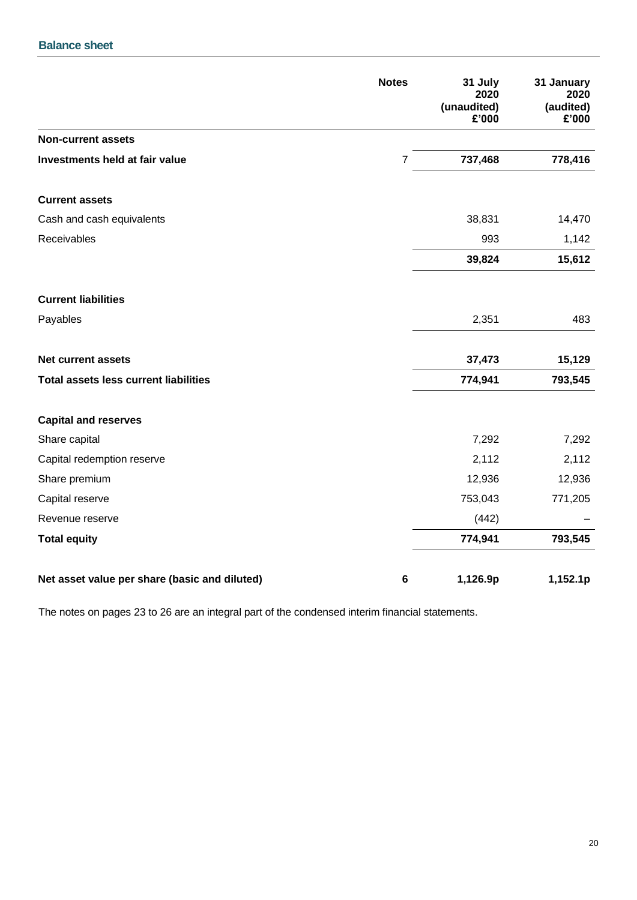### **Balance sheet**

|                                               | <b>Notes</b> | 31 July<br>2020<br>(unaudited)<br>£'000 | 31 January<br>2020<br>(audited)<br>£'000 |
|-----------------------------------------------|--------------|-----------------------------------------|------------------------------------------|
| <b>Non-current assets</b>                     |              |                                         |                                          |
| Investments held at fair value                | 7            | 737,468                                 | 778,416                                  |
| <b>Current assets</b>                         |              |                                         |                                          |
| Cash and cash equivalents                     |              | 38,831                                  | 14,470                                   |
| Receivables                                   |              | 993                                     | 1,142                                    |
|                                               |              | 39,824                                  | 15,612                                   |
| <b>Current liabilities</b>                    |              |                                         |                                          |
| Payables                                      |              | 2,351                                   | 483                                      |
| <b>Net current assets</b>                     |              | 37,473                                  | 15,129                                   |
| <b>Total assets less current liabilities</b>  |              | 774,941                                 | 793,545                                  |
| <b>Capital and reserves</b>                   |              |                                         |                                          |
| Share capital                                 |              | 7,292                                   | 7,292                                    |
| Capital redemption reserve                    |              | 2,112                                   | 2,112                                    |
| Share premium                                 |              | 12,936                                  | 12,936                                   |
| Capital reserve                               |              | 753,043                                 | 771,205                                  |
| Revenue reserve                               |              | (442)                                   |                                          |
| <b>Total equity</b>                           |              | 774,941                                 | 793,545                                  |
| Net asset value per share (basic and diluted) | 6            | 1,126.9p                                | 1,152.1p                                 |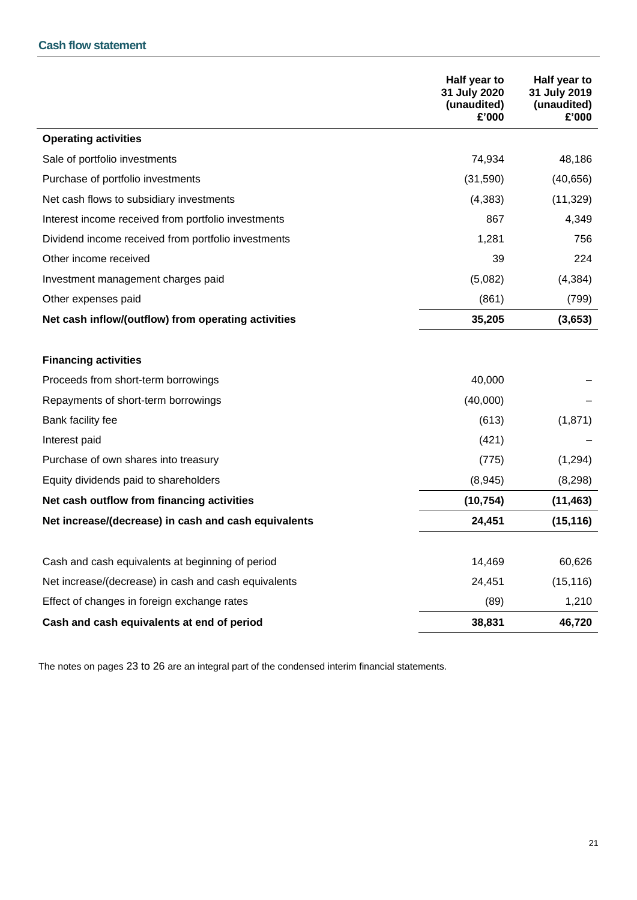|                                                                                                                                | Half year to<br>31 July 2020<br>(unaudited)<br>£'000 | Half year to<br>31 July 2019<br>(unaudited)<br>£'000 |
|--------------------------------------------------------------------------------------------------------------------------------|------------------------------------------------------|------------------------------------------------------|
| <b>Operating activities</b>                                                                                                    |                                                      |                                                      |
| Sale of portfolio investments                                                                                                  | 74,934                                               | 48,186                                               |
| Purchase of portfolio investments                                                                                              | (31,590)                                             | (40, 656)                                            |
| Net cash flows to subsidiary investments                                                                                       | (4,383)                                              | (11, 329)                                            |
| Interest income received from portfolio investments                                                                            | 867                                                  | 4,349                                                |
| Dividend income received from portfolio investments                                                                            | 1,281                                                | 756                                                  |
| Other income received                                                                                                          | 39                                                   | 224                                                  |
| Investment management charges paid                                                                                             | (5,082)                                              | (4, 384)                                             |
| Other expenses paid                                                                                                            | (861)                                                | (799)                                                |
| Net cash inflow/(outflow) from operating activities                                                                            | 35,205                                               | (3,653)                                              |
| <b>Financing activities</b><br>Proceeds from short-term borrowings<br>Repayments of short-term borrowings<br>Bank facility fee | 40,000<br>(40,000)<br>(613)                          | (1,871)                                              |
| Interest paid                                                                                                                  | (421)                                                |                                                      |
| Purchase of own shares into treasury                                                                                           | (775)                                                | (1,294)                                              |
| Equity dividends paid to shareholders                                                                                          | (8,945)                                              | (8, 298)                                             |
| Net cash outflow from financing activities                                                                                     | (10, 754)                                            | (11, 463)                                            |
| Net increase/(decrease) in cash and cash equivalents                                                                           | 24,451                                               | (15, 116)                                            |
|                                                                                                                                |                                                      |                                                      |
| Cash and cash equivalents at beginning of period                                                                               | 14,469                                               | 60,626                                               |
| Net increase/(decrease) in cash and cash equivalents                                                                           | 24,451                                               | (15, 116)                                            |
| Effect of changes in foreign exchange rates                                                                                    | (89)                                                 | 1,210                                                |
| Cash and cash equivalents at end of period                                                                                     | 38,831                                               | 46,720                                               |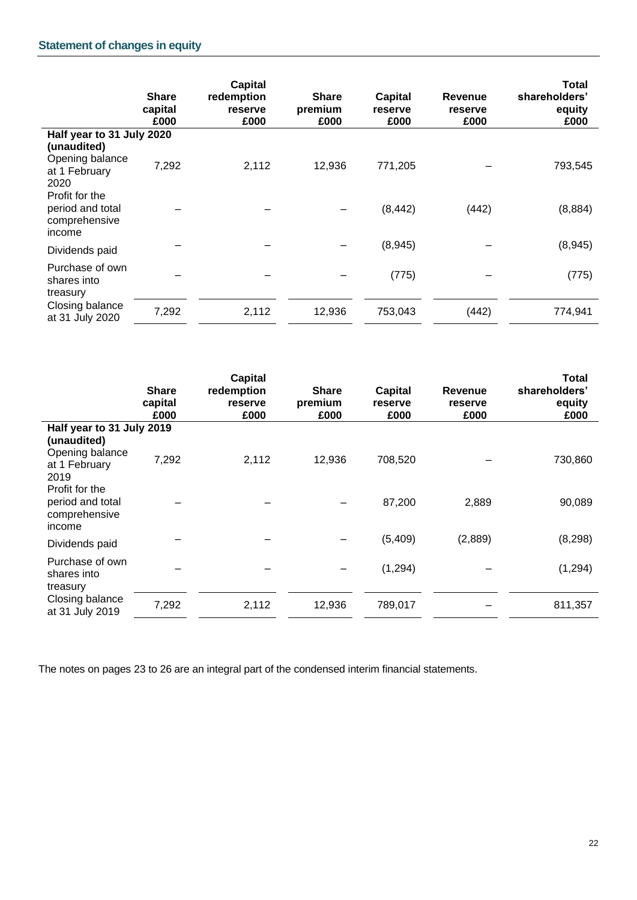# **Statement of changes in equity**

|                                                               | <b>Share</b><br>capital<br>£000 | <b>Capital</b><br>redemption<br>reserve<br>£000 | <b>Share</b><br>premium<br>£000 | Capital<br>reserve<br>£000 | Revenue<br>reserve<br>£000 | Total<br>shareholders'<br>equity<br>£000 |
|---------------------------------------------------------------|---------------------------------|-------------------------------------------------|---------------------------------|----------------------------|----------------------------|------------------------------------------|
| Half year to 31 July 2020<br>(unaudited)                      |                                 |                                                 |                                 |                            |                            |                                          |
| Opening balance<br>at 1 February<br>2020                      | 7,292                           | 2,112                                           | 12,936                          | 771,205                    |                            | 793,545                                  |
| Profit for the<br>period and total<br>comprehensive<br>income |                                 |                                                 |                                 | (8, 442)                   | (442)                      | (8,884)                                  |
| Dividends paid                                                |                                 |                                                 |                                 | (8,945)                    |                            | (8,945)                                  |
| Purchase of own<br>shares into<br>treasury                    |                                 |                                                 |                                 | (775)                      |                            | (775)                                    |
| Closing balance<br>at 31 July 2020                            | 7,292                           | 2,112                                           | 12,936                          | 753,043                    | (442)                      | 774,941                                  |

|                                                               | <b>Share</b><br>capital<br>£000 | Capital<br>redemption<br>reserve<br>£000 | <b>Share</b><br>premium<br>£000 | Capital<br>reserve<br>£000 | Revenue<br>reserve<br>£000 | <b>Total</b><br>shareholders'<br>equity<br>£000 |
|---------------------------------------------------------------|---------------------------------|------------------------------------------|---------------------------------|----------------------------|----------------------------|-------------------------------------------------|
| Half year to 31 July 2019                                     |                                 |                                          |                                 |                            |                            |                                                 |
| (unaudited)<br>Opening balance<br>at 1 February<br>2019       | 7,292                           | 2,112                                    | 12,936                          | 708,520                    |                            | 730,860                                         |
| Profit for the<br>period and total<br>comprehensive<br>income |                                 |                                          |                                 | 87,200                     | 2,889                      | 90,089                                          |
| Dividends paid                                                |                                 |                                          |                                 | (5,409)                    | (2,889)                    | (8, 298)                                        |
| Purchase of own<br>shares into<br>treasury                    |                                 |                                          |                                 | (1, 294)                   |                            | (1, 294)                                        |
| Closing balance<br>at 31 July 2019                            | 7,292                           | 2,112                                    | 12,936                          | 789,017                    |                            | 811,357                                         |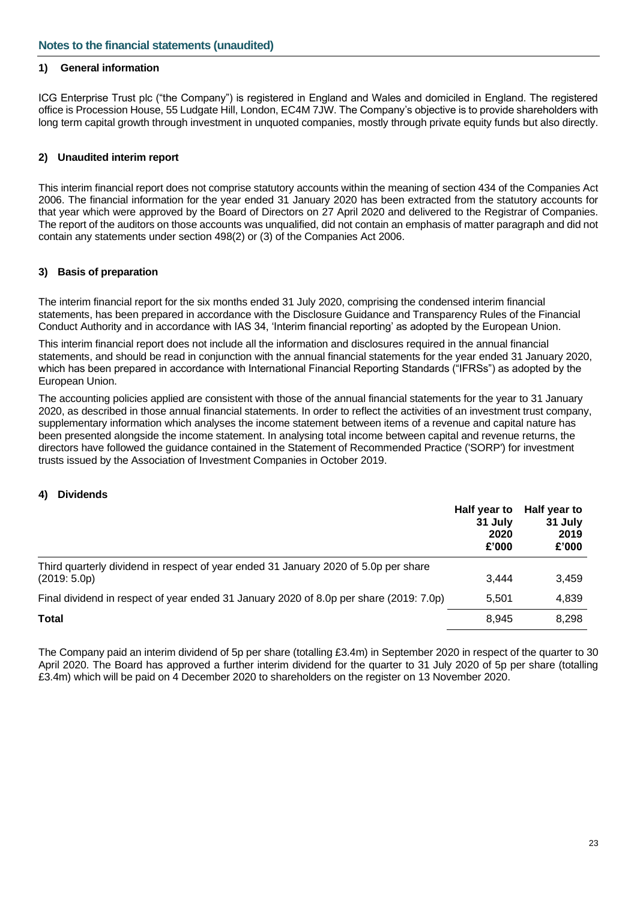### **1) General information**

ICG Enterprise Trust plc ("the Company") is registered in England and Wales and domiciled in England. The registered office is Procession House, 55 Ludgate Hill, London, EC4M 7JW. The Company's objective is to provide shareholders with long term capital growth through investment in unquoted companies, mostly through private equity funds but also directly.

### **2) Unaudited interim report**

This interim financial report does not comprise statutory accounts within the meaning of section 434 of the Companies Act 2006. The financial information for the year ended 31 January 2020 has been extracted from the statutory accounts for that year which were approved by the Board of Directors on 27 April 2020 and delivered to the Registrar of Companies. The report of the auditors on those accounts was unqualified, did not contain an emphasis of matter paragraph and did not contain any statements under section 498(2) or (3) of the Companies Act 2006.

### **3) Basis of preparation**

The interim financial report for the six months ended 31 July 2020, comprising the condensed interim financial statements, has been prepared in accordance with the Disclosure Guidance and Transparency Rules of the Financial Conduct Authority and in accordance with IAS 34, 'Interim financial reporting' as adopted by the European Union.

This interim financial report does not include all the information and disclosures required in the annual financial statements, and should be read in conjunction with the annual financial statements for the year ended 31 January 2020, which has been prepared in accordance with International Financial Reporting Standards ("IFRSs") as adopted by the European Union.

The accounting policies applied are consistent with those of the annual financial statements for the year to 31 January 2020, as described in those annual financial statements. In order to reflect the activities of an investment trust company, supplementary information which analyses the income statement between items of a revenue and capital nature has been presented alongside the income statement. In analysing total income between capital and revenue returns, the directors have followed the guidance contained in the Statement of Recommended Practice ('SORP') for investment trusts issued by the Association of Investment Companies in October 2019.

### **4) Dividends**

|                                                                                                    | Half year to<br>31 July<br>2020<br>£'000 | Half year to<br>31 July<br>2019<br>£'000 |
|----------------------------------------------------------------------------------------------------|------------------------------------------|------------------------------------------|
| Third quarterly dividend in respect of year ended 31 January 2020 of 5.0p per share<br>(2019:5.0p) | 3.444                                    | 3,459                                    |
| Final dividend in respect of year ended 31 January 2020 of 8.0p per share (2019: 7.0p)             | 5.501                                    | 4,839                                    |
| Total                                                                                              | 8.945                                    | 8,298                                    |

The Company paid an interim dividend of 5p per share (totalling £3.4m) in September 2020 in respect of the quarter to 30 April 2020. The Board has approved a further interim dividend for the quarter to 31 July 2020 of 5p per share (totalling £3.4m) which will be paid on 4 December 2020 to shareholders on the register on 13 November 2020.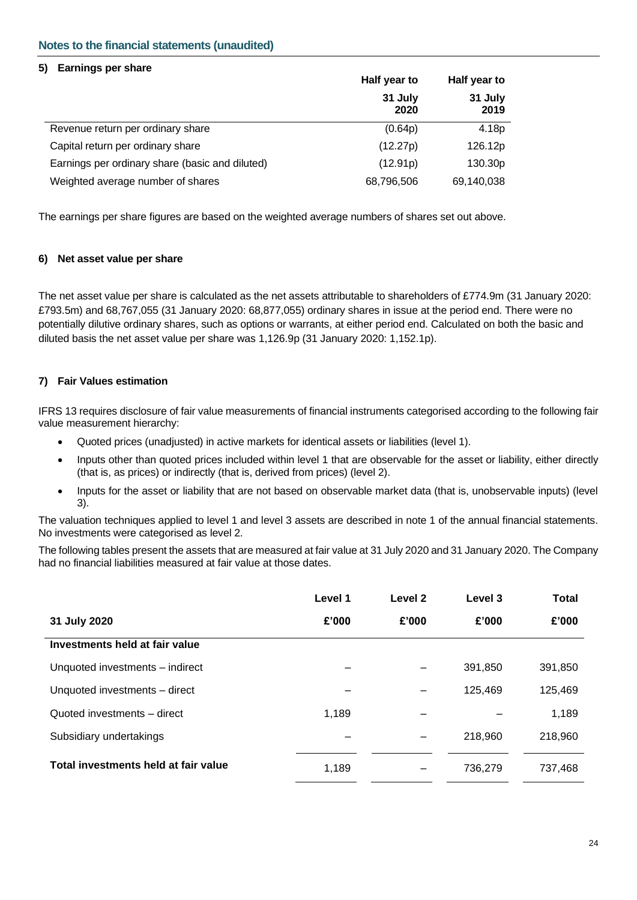### **Notes to the financial statements (unaudited)**

### **5) Earnings per share**

|                                                 | Half year to    | Half year to    |
|-------------------------------------------------|-----------------|-----------------|
|                                                 | 31 July<br>2020 | 31 July<br>2019 |
| Revenue return per ordinary share               | (0.64p)         | 4.18p           |
| Capital return per ordinary share               | (12.27p)        | 126.12p         |
| Earnings per ordinary share (basic and diluted) | (12.91p)        | 130.30p         |
| Weighted average number of shares               | 68,796,506      | 69,140,038      |

The earnings per share figures are based on the weighted average numbers of shares set out above.

### **6) Net asset value per share**

The net asset value per share is calculated as the net assets attributable to shareholders of £774.9m (31 January 2020: £793.5m) and 68,767,055 (31 January 2020: 68,877,055) ordinary shares in issue at the period end. There were no potentially dilutive ordinary shares, such as options or warrants, at either period end. Calculated on both the basic and diluted basis the net asset value per share was 1,126.9p (31 January 2020: 1,152.1p).

### **7) Fair Values estimation**

IFRS 13 requires disclosure of fair value measurements of financial instruments categorised according to the following fair value measurement hierarchy:

- Quoted prices (unadjusted) in active markets for identical assets or liabilities (level 1).
- Inputs other than quoted prices included within level 1 that are observable for the asset or liability, either directly (that is, as prices) or indirectly (that is, derived from prices) (level 2).
- Inputs for the asset or liability that are not based on observable market data (that is, unobservable inputs) (level 3).

The valuation techniques applied to level 1 and level 3 assets are described in note 1 of the annual financial statements. No investments were categorised as level 2.

The following tables present the assets that are measured at fair value at 31 July 2020 and 31 January 2020. The Company had no financial liabilities measured at fair value at those dates.

|                                      | Level 1 | Level 2 | Level 3 | Total   |
|--------------------------------------|---------|---------|---------|---------|
| 31 July 2020                         | £'000   | £'000   | £'000   | £'000   |
| Investments held at fair value       |         |         |         |         |
| Unquoted investments - indirect      |         |         | 391,850 | 391,850 |
| Unquoted investments – direct        |         | -       | 125,469 | 125,469 |
| Quoted investments - direct          | 1,189   |         |         | 1,189   |
| Subsidiary undertakings              |         | —       | 218,960 | 218,960 |
| Total investments held at fair value | 1,189   |         | 736,279 | 737,468 |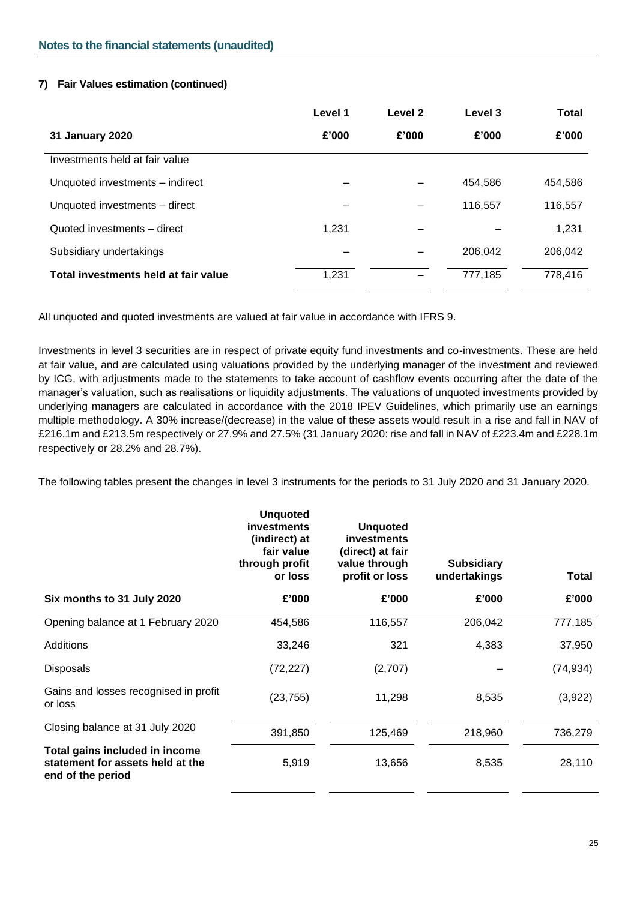### **7) Fair Values estimation (continued)**

|                                      | Level 1 | Level <sub>2</sub> | Level 3 | <b>Total</b> |
|--------------------------------------|---------|--------------------|---------|--------------|
| 31 January 2020                      | £'000   | £'000              | £'000   | £'000        |
| Investments held at fair value       |         |                    |         |              |
| Unquoted investments - indirect      |         |                    | 454,586 | 454,586      |
| Unquoted investments - direct        |         |                    | 116,557 | 116,557      |
| Quoted investments - direct          | 1,231   |                    |         | 1,231        |
| Subsidiary undertakings              |         |                    | 206,042 | 206,042      |
| Total investments held at fair value | 1,231   |                    | 777,185 | 778,416      |
|                                      |         |                    |         |              |

All unquoted and quoted investments are valued at fair value in accordance with IFRS 9.

Investments in level 3 securities are in respect of private equity fund investments and co-investments. These are held at fair value, and are calculated using valuations provided by the underlying manager of the investment and reviewed by ICG, with adjustments made to the statements to take account of cashflow events occurring after the date of the manager's valuation, such as realisations or liquidity adjustments. The valuations of unquoted investments provided by underlying managers are calculated in accordance with the 2018 IPEV Guidelines, which primarily use an earnings multiple methodology. A 30% increase/(decrease) in the value of these assets would result in a rise and fall in NAV of £216.1m and £213.5m respectively or 27.9% and 27.5% (31 January 2020: rise and fall in NAV of £223.4m and £228.1m respectively or 28.2% and 28.7%).

The following tables present the changes in level 3 instruments for the periods to 31 July 2020 and 31 January 2020.

|                                                                                         | <b>Unquoted</b><br>investments<br>(indirect) at<br>fair value<br>through profit<br>or loss | <b>Unquoted</b><br>investments<br>(direct) at fair<br>value through<br>profit or loss | <b>Subsidiary</b><br>undertakings | <b>Total</b> |
|-----------------------------------------------------------------------------------------|--------------------------------------------------------------------------------------------|---------------------------------------------------------------------------------------|-----------------------------------|--------------|
| Six months to 31 July 2020                                                              | £'000                                                                                      | £'000                                                                                 | £'000                             | £'000        |
| Opening balance at 1 February 2020                                                      | 454,586                                                                                    | 116,557                                                                               | 206,042                           | 777,185      |
| Additions                                                                               | 33,246                                                                                     | 321                                                                                   | 4,383                             | 37,950       |
| <b>Disposals</b>                                                                        | (72, 227)                                                                                  | (2,707)                                                                               |                                   | (74, 934)    |
| Gains and losses recognised in profit<br>or loss                                        | (23, 755)                                                                                  | 11,298                                                                                | 8,535                             | (3,922)      |
| Closing balance at 31 July 2020                                                         | 391,850                                                                                    | 125,469                                                                               | 218,960                           | 736,279      |
| Total gains included in income<br>statement for assets held at the<br>end of the period | 5,919                                                                                      | 13,656                                                                                | 8,535                             | 28,110       |
|                                                                                         |                                                                                            |                                                                                       |                                   |              |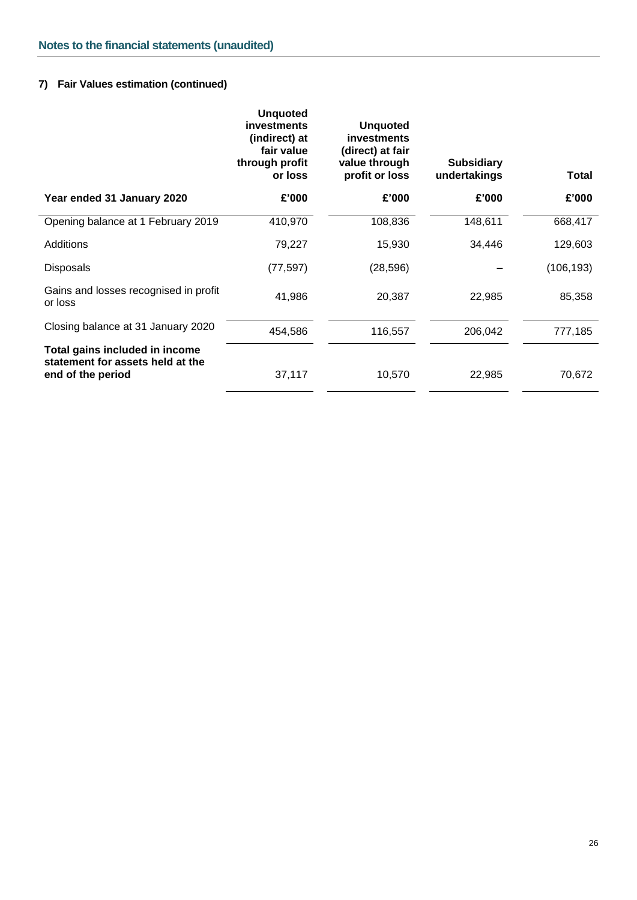## **7) Fair Values estimation (continued)**

|                                                                                         | <b>Unquoted</b><br>investments<br>(indirect) at<br>fair value<br>through profit<br>or loss | <b>Unquoted</b><br>investments<br>(direct) at fair<br>value through<br>profit or loss | <b>Subsidiary</b><br>undertakings | <b>Total</b> |
|-----------------------------------------------------------------------------------------|--------------------------------------------------------------------------------------------|---------------------------------------------------------------------------------------|-----------------------------------|--------------|
| Year ended 31 January 2020                                                              | £'000                                                                                      | £'000                                                                                 | £'000                             | £'000        |
| Opening balance at 1 February 2019                                                      | 410,970                                                                                    | 108,836                                                                               | 148,611                           | 668,417      |
| Additions                                                                               | 79,227                                                                                     | 15,930                                                                                | 34,446                            | 129,603      |
| <b>Disposals</b>                                                                        | (77, 597)                                                                                  | (28, 596)                                                                             |                                   | (106, 193)   |
| Gains and losses recognised in profit<br>or loss                                        | 41,986                                                                                     | 20,387                                                                                | 22,985                            | 85,358       |
| Closing balance at 31 January 2020                                                      | 454,586                                                                                    | 116,557                                                                               | 206,042                           | 777,185      |
| Total gains included in income<br>statement for assets held at the<br>end of the period | 37,117                                                                                     | 10,570                                                                                | 22,985                            | 70,672       |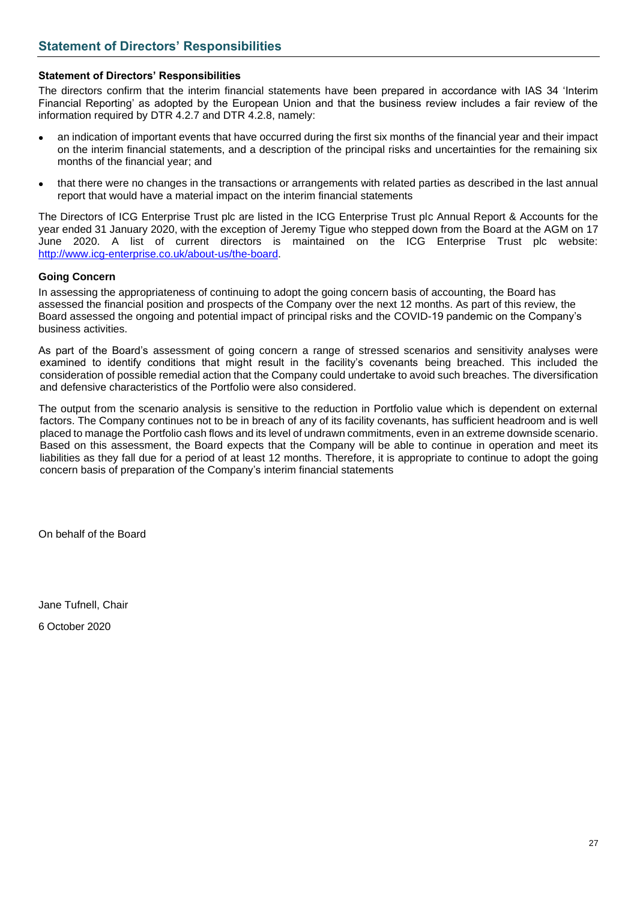### **Statement of Directors' Responsibilities**

The directors confirm that the interim financial statements have been prepared in accordance with IAS 34 'Interim Financial Reporting' as adopted by the European Union and that the business review includes a fair review of the information required by DTR 4.2.7 and DTR 4.2.8, namely:

- an indication of important events that have occurred during the first six months of the financial year and their impact on the interim financial statements, and a description of the principal risks and uncertainties for the remaining six months of the financial year; and
- that there were no changes in the transactions or arrangements with related parties as described in the last annual report that would have a material impact on the interim financial statements

The Directors of ICG Enterprise Trust plc are listed in the ICG Enterprise Trust plc Annual Report & Accounts for the year ended 31 January 2020, with the exception of Jeremy Tigue who stepped down from the Board at the AGM on 17 June 2020. A list of current directors is maintained on the ICG Enterprise Trust plc website: [http://www.icg-enterprise.co.uk/about-us/the-board.](http://www.icg-enterprise.co.uk/about-us/the-board)

#### **Going Concern**

In assessing the appropriateness of continuing to adopt the going concern basis of accounting, the Board has assessed the financial position and prospects of the Company over the next 12 months. As part of this review, the Board assessed the ongoing and potential impact of principal risks and the COVID-19 pandemic on the Company's business activities.

As part of the Board's assessment of going concern a range of stressed scenarios and sensitivity analyses were examined to identify conditions that might result in the facility's covenants being breached. This included the consideration of possible remedial action that the Company could undertake to avoid such breaches. The diversification and defensive characteristics of the Portfolio were also considered.

The output from the scenario analysis is sensitive to the reduction in Portfolio value which is dependent on external factors. The Company continues not to be in breach of any of its facility covenants, has sufficient headroom and is well placed to manage the Portfolio cash flows and its level of undrawn commitments, even in an extreme downside scenario. Based on this assessment, the Board expects that the Company will be able to continue in operation and meet its liabilities as they fall due for a period of at least 12 months. Therefore, it is appropriate to continue to adopt the going concern basis of preparation of the Company's interim financial statements

On behalf of the Board

Jane Tufnell, Chair

6 October 2020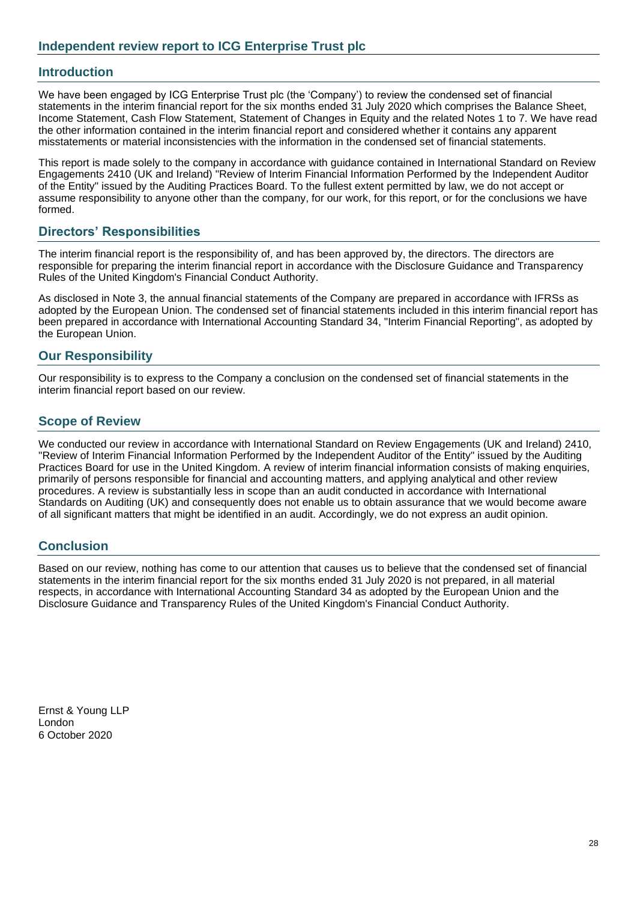### **Introduction**

We have been engaged by ICG Enterprise Trust plc (the 'Company') to review the condensed set of financial statements in the interim financial report for the six months ended 31 July 2020 which comprises the Balance Sheet, Income Statement, Cash Flow Statement, Statement of Changes in Equity and the related Notes 1 to 7. We have read the other information contained in the interim financial report and considered whether it contains any apparent misstatements or material inconsistencies with the information in the condensed set of financial statements.

This report is made solely to the company in accordance with guidance contained in International Standard on Review Engagements 2410 (UK and Ireland) "Review of Interim Financial Information Performed by the Independent Auditor of the Entity" issued by the Auditing Practices Board. To the fullest extent permitted by law, we do not accept or assume responsibility to anyone other than the company, for our work, for this report, or for the conclusions we have formed.

### **Directors' Responsibilities**

The interim financial report is the responsibility of, and has been approved by, the directors. The directors are responsible for preparing the interim financial report in accordance with the Disclosure Guidance and Transparency Rules of the United Kingdom's Financial Conduct Authority.

As disclosed in Note 3, the annual financial statements of the Company are prepared in accordance with IFRSs as adopted by the European Union. The condensed set of financial statements included in this interim financial report has been prepared in accordance with International Accounting Standard 34, "Interim Financial Reporting", as adopted by the European Union.

### **Our Responsibility**

Our responsibility is to express to the Company a conclusion on the condensed set of financial statements in the interim financial report based on our review.

### **Scope of Review**

We conducted our review in accordance with International Standard on Review Engagements (UK and Ireland) 2410, "Review of Interim Financial Information Performed by the Independent Auditor of the Entity" issued by the Auditing Practices Board for use in the United Kingdom. A review of interim financial information consists of making enquiries, primarily of persons responsible for financial and accounting matters, and applying analytical and other review procedures. A review is substantially less in scope than an audit conducted in accordance with International Standards on Auditing (UK) and consequently does not enable us to obtain assurance that we would become aware of all significant matters that might be identified in an audit. Accordingly, we do not express an audit opinion.

### **Conclusion**

Based on our review, nothing has come to our attention that causes us to believe that the condensed set of financial statements in the interim financial report for the six months ended 31 July 2020 is not prepared, in all material respects, in accordance with International Accounting Standard 34 as adopted by the European Union and the Disclosure Guidance and Transparency Rules of the United Kingdom's Financial Conduct Authority.

Ernst & Young LLP London 6 October 2020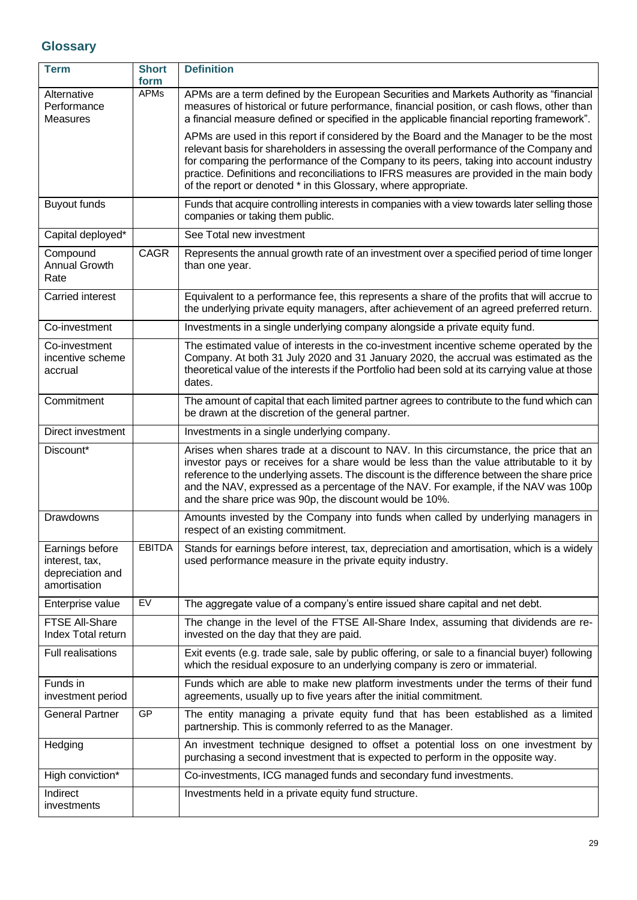# **Glossary**

| <b>Term</b>                                                           | <b>Short</b><br>form | <b>Definition</b>                                                                                                                                                                                                                                                                                                                                                                                                                           |
|-----------------------------------------------------------------------|----------------------|---------------------------------------------------------------------------------------------------------------------------------------------------------------------------------------------------------------------------------------------------------------------------------------------------------------------------------------------------------------------------------------------------------------------------------------------|
| Alternative<br>Performance<br><b>Measures</b>                         | <b>APMs</b>          | APMs are a term defined by the European Securities and Markets Authority as "financial<br>measures of historical or future performance, financial position, or cash flows, other than<br>a financial measure defined or specified in the applicable financial reporting framework".                                                                                                                                                         |
|                                                                       |                      | APMs are used in this report if considered by the Board and the Manager to be the most<br>relevant basis for shareholders in assessing the overall performance of the Company and<br>for comparing the performance of the Company to its peers, taking into account industry<br>practice. Definitions and reconciliations to IFRS measures are provided in the main body<br>of the report or denoted * in this Glossary, where appropriate. |
| <b>Buyout funds</b>                                                   |                      | Funds that acquire controlling interests in companies with a view towards later selling those<br>companies or taking them public.                                                                                                                                                                                                                                                                                                           |
| Capital deployed*                                                     |                      | See Total new investment                                                                                                                                                                                                                                                                                                                                                                                                                    |
| Compound<br>Annual Growth<br>Rate                                     | <b>CAGR</b>          | Represents the annual growth rate of an investment over a specified period of time longer<br>than one year.                                                                                                                                                                                                                                                                                                                                 |
| <b>Carried interest</b>                                               |                      | Equivalent to a performance fee, this represents a share of the profits that will accrue to<br>the underlying private equity managers, after achievement of an agreed preferred return.                                                                                                                                                                                                                                                     |
| Co-investment                                                         |                      | Investments in a single underlying company alongside a private equity fund.                                                                                                                                                                                                                                                                                                                                                                 |
| Co-investment<br>incentive scheme<br>accrual                          |                      | The estimated value of interests in the co-investment incentive scheme operated by the<br>Company. At both 31 July 2020 and 31 January 2020, the accrual was estimated as the<br>theoretical value of the interests if the Portfolio had been sold at its carrying value at those<br>dates.                                                                                                                                                 |
| Commitment                                                            |                      | The amount of capital that each limited partner agrees to contribute to the fund which can<br>be drawn at the discretion of the general partner.                                                                                                                                                                                                                                                                                            |
| Direct investment                                                     |                      | Investments in a single underlying company.                                                                                                                                                                                                                                                                                                                                                                                                 |
| Discount*                                                             |                      | Arises when shares trade at a discount to NAV. In this circumstance, the price that an<br>investor pays or receives for a share would be less than the value attributable to it by<br>reference to the underlying assets. The discount is the difference between the share price<br>and the NAV, expressed as a percentage of the NAV. For example, if the NAV was 100p<br>and the share price was 90p, the discount would be 10%.          |
| <b>Drawdowns</b>                                                      |                      | Amounts invested by the Company into funds when called by underlying managers in<br>respect of an existing commitment.                                                                                                                                                                                                                                                                                                                      |
| Earnings before<br>interest, tax,<br>depreciation and<br>amortisation | <b>EBITDA</b>        | Stands for earnings before interest, tax, depreciation and amortisation, which is a widely<br>used performance measure in the private equity industry.                                                                                                                                                                                                                                                                                      |
| Enterprise value                                                      | EV                   | The aggregate value of a company's entire issued share capital and net debt.                                                                                                                                                                                                                                                                                                                                                                |
| FTSE All-Share<br>Index Total return                                  |                      | The change in the level of the FTSE All-Share Index, assuming that dividends are re-<br>invested on the day that they are paid.                                                                                                                                                                                                                                                                                                             |
| Full realisations                                                     |                      | Exit events (e.g. trade sale, sale by public offering, or sale to a financial buyer) following<br>which the residual exposure to an underlying company is zero or immaterial.                                                                                                                                                                                                                                                               |
| Funds in<br>investment period                                         |                      | Funds which are able to make new platform investments under the terms of their fund<br>agreements, usually up to five years after the initial commitment.                                                                                                                                                                                                                                                                                   |
| <b>General Partner</b>                                                | GP                   | The entity managing a private equity fund that has been established as a limited<br>partnership. This is commonly referred to as the Manager.                                                                                                                                                                                                                                                                                               |
| Hedging                                                               |                      | An investment technique designed to offset a potential loss on one investment by<br>purchasing a second investment that is expected to perform in the opposite way.                                                                                                                                                                                                                                                                         |
| High conviction*                                                      |                      | Co-investments, ICG managed funds and secondary fund investments.                                                                                                                                                                                                                                                                                                                                                                           |
| Indirect<br>investments                                               |                      | Investments held in a private equity fund structure.                                                                                                                                                                                                                                                                                                                                                                                        |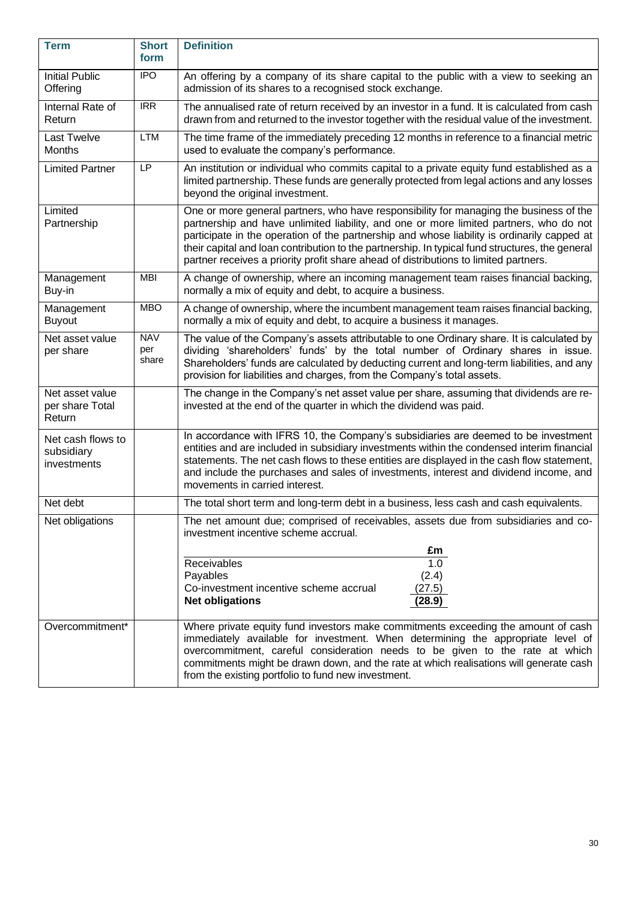| <b>Term</b>                                    | <b>Short</b><br>form       | <b>Definition</b>                                                                                                                                                                                                                                                                                                                                                                                                                                                          |
|------------------------------------------------|----------------------------|----------------------------------------------------------------------------------------------------------------------------------------------------------------------------------------------------------------------------------------------------------------------------------------------------------------------------------------------------------------------------------------------------------------------------------------------------------------------------|
| <b>Initial Public</b><br>Offering              | <b>IPO</b>                 | An offering by a company of its share capital to the public with a view to seeking an<br>admission of its shares to a recognised stock exchange.                                                                                                                                                                                                                                                                                                                           |
| Internal Rate of<br>Return                     | <b>IRR</b>                 | The annualised rate of return received by an investor in a fund. It is calculated from cash<br>drawn from and returned to the investor together with the residual value of the investment.                                                                                                                                                                                                                                                                                 |
| Last Twelve<br><b>Months</b>                   | <b>LTM</b>                 | The time frame of the immediately preceding 12 months in reference to a financial metric<br>used to evaluate the company's performance.                                                                                                                                                                                                                                                                                                                                    |
| <b>Limited Partner</b>                         | $\overline{LP}$            | An institution or individual who commits capital to a private equity fund established as a<br>limited partnership. These funds are generally protected from legal actions and any losses<br>beyond the original investment.                                                                                                                                                                                                                                                |
| Limited<br>Partnership                         |                            | One or more general partners, who have responsibility for managing the business of the<br>partnership and have unlimited liability, and one or more limited partners, who do not<br>participate in the operation of the partnership and whose liability is ordinarily capped at<br>their capital and loan contribution to the partnership. In typical fund structures, the general<br>partner receives a priority profit share ahead of distributions to limited partners. |
| Management<br>Buy-in                           | <b>MBI</b>                 | A change of ownership, where an incoming management team raises financial backing,<br>normally a mix of equity and debt, to acquire a business.                                                                                                                                                                                                                                                                                                                            |
| Management<br><b>Buyout</b>                    | <b>MBO</b>                 | A change of ownership, where the incumbent management team raises financial backing,<br>normally a mix of equity and debt, to acquire a business it manages.                                                                                                                                                                                                                                                                                                               |
| Net asset value<br>per share                   | <b>NAV</b><br>per<br>share | The value of the Company's assets attributable to one Ordinary share. It is calculated by<br>dividing 'shareholders' funds' by the total number of Ordinary shares in issue.<br>Shareholders' funds are calculated by deducting current and long-term liabilities, and any<br>provision for liabilities and charges, from the Company's total assets.                                                                                                                      |
| Net asset value<br>per share Total<br>Return   |                            | The change in the Company's net asset value per share, assuming that dividends are re-<br>invested at the end of the quarter in which the dividend was paid.                                                                                                                                                                                                                                                                                                               |
| Net cash flows to<br>subsidiary<br>investments |                            | In accordance with IFRS 10, the Company's subsidiaries are deemed to be investment<br>entities and are included in subsidiary investments within the condensed interim financial<br>statements. The net cash flows to these entities are displayed in the cash flow statement,<br>and include the purchases and sales of investments, interest and dividend income, and<br>movements in carried interest.                                                                  |
| Net debt                                       |                            | The total short term and long-term debt in a business, less cash and cash equivalents.                                                                                                                                                                                                                                                                                                                                                                                     |
| Net obligations                                |                            | The net amount due; comprised of receivables, assets due from subsidiaries and co-<br>investment incentive scheme accrual.                                                                                                                                                                                                                                                                                                                                                 |
|                                                |                            | £m<br>Receivables<br>1.0<br>Payables<br>(2.4)<br>Co-investment incentive scheme accrual<br>(27.5)<br><b>Net obligations</b><br>(28.9)                                                                                                                                                                                                                                                                                                                                      |
| Overcommitment*                                |                            | Where private equity fund investors make commitments exceeding the amount of cash<br>immediately available for investment. When determining the appropriate level of<br>overcommitment, careful consideration needs to be given to the rate at which<br>commitments might be drawn down, and the rate at which realisations will generate cash<br>from the existing portfolio to fund new investment.                                                                      |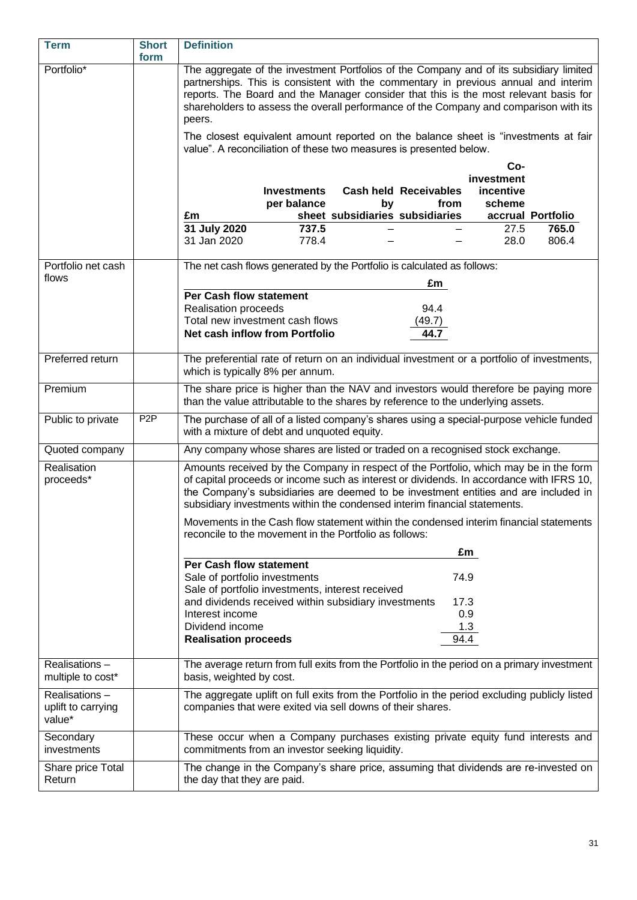| <b>Term</b>                                   | <b>Short</b><br>form | <b>Definition</b>                                                                                                                                                                                                                                                                                                                                                                                                                                                                                                                             |
|-----------------------------------------------|----------------------|-----------------------------------------------------------------------------------------------------------------------------------------------------------------------------------------------------------------------------------------------------------------------------------------------------------------------------------------------------------------------------------------------------------------------------------------------------------------------------------------------------------------------------------------------|
| Portfolio*                                    |                      | The aggregate of the investment Portfolios of the Company and of its subsidiary limited<br>partnerships. This is consistent with the commentary in previous annual and interim<br>reports. The Board and the Manager consider that this is the most relevant basis for<br>shareholders to assess the overall performance of the Company and comparison with its<br>peers.<br>The closest equivalent amount reported on the balance sheet is "investments at fair<br>value". A reconciliation of these two measures is presented below.<br>Co- |
|                                               |                      | investment<br><b>Cash held Receivables</b><br>incentive<br><b>Investments</b>                                                                                                                                                                                                                                                                                                                                                                                                                                                                 |
|                                               |                      | per balance<br>from<br>scheme<br>by                                                                                                                                                                                                                                                                                                                                                                                                                                                                                                           |
|                                               |                      | sheet subsidiaries subsidiaries<br>accrual Portfolio<br>£m<br>31 July 2020<br>765.0<br>737.5<br>27.5                                                                                                                                                                                                                                                                                                                                                                                                                                          |
|                                               |                      | 31 Jan 2020<br>806.4<br>778.4<br>28.0                                                                                                                                                                                                                                                                                                                                                                                                                                                                                                         |
| Portfolio net cash<br>flows                   |                      | The net cash flows generated by the Portfolio is calculated as follows:                                                                                                                                                                                                                                                                                                                                                                                                                                                                       |
|                                               |                      | £m<br>Per Cash flow statement                                                                                                                                                                                                                                                                                                                                                                                                                                                                                                                 |
|                                               |                      | Realisation proceeds<br>94.4                                                                                                                                                                                                                                                                                                                                                                                                                                                                                                                  |
|                                               |                      | Total new investment cash flows<br>(49.7)<br>Net cash inflow from Portfolio<br>44.7                                                                                                                                                                                                                                                                                                                                                                                                                                                           |
|                                               |                      |                                                                                                                                                                                                                                                                                                                                                                                                                                                                                                                                               |
| Preferred return                              |                      | The preferential rate of return on an individual investment or a portfolio of investments,<br>which is typically 8% per annum.                                                                                                                                                                                                                                                                                                                                                                                                                |
| Premium                                       |                      | The share price is higher than the NAV and investors would therefore be paying more<br>than the value attributable to the shares by reference to the underlying assets.                                                                                                                                                                                                                                                                                                                                                                       |
| Public to private                             | P <sub>2</sub> P     | The purchase of all of a listed company's shares using a special-purpose vehicle funded<br>with a mixture of debt and unquoted equity.                                                                                                                                                                                                                                                                                                                                                                                                        |
| Quoted company                                |                      | Any company whose shares are listed or traded on a recognised stock exchange.                                                                                                                                                                                                                                                                                                                                                                                                                                                                 |
| Realisation<br>proceeds*                      |                      | Amounts received by the Company in respect of the Portfolio, which may be in the form<br>of capital proceeds or income such as interest or dividends. In accordance with IFRS 10,<br>the Company's subsidiaries are deemed to be investment entities and are included in<br>subsidiary investments within the condensed interim financial statements.                                                                                                                                                                                         |
|                                               |                      | Movements in the Cash flow statement within the condensed interim financial statements<br>reconcile to the movement in the Portfolio as follows:                                                                                                                                                                                                                                                                                                                                                                                              |
|                                               |                      | £m                                                                                                                                                                                                                                                                                                                                                                                                                                                                                                                                            |
|                                               |                      | <b>Per Cash flow statement</b><br>Sale of portfolio investments<br>74.9<br>Sale of portfolio investments, interest received                                                                                                                                                                                                                                                                                                                                                                                                                   |
|                                               |                      | and dividends received within subsidiary investments<br>17.3<br>Interest income<br>0.9                                                                                                                                                                                                                                                                                                                                                                                                                                                        |
|                                               |                      | Dividend income<br>1.3                                                                                                                                                                                                                                                                                                                                                                                                                                                                                                                        |
|                                               |                      | <b>Realisation proceeds</b><br>94.4                                                                                                                                                                                                                                                                                                                                                                                                                                                                                                           |
| Realisations-<br>multiple to cost*            |                      | The average return from full exits from the Portfolio in the period on a primary investment<br>basis, weighted by cost.                                                                                                                                                                                                                                                                                                                                                                                                                       |
| Realisations-<br>uplift to carrying<br>value* |                      | The aggregate uplift on full exits from the Portfolio in the period excluding publicly listed<br>companies that were exited via sell downs of their shares.                                                                                                                                                                                                                                                                                                                                                                                   |
| Secondary<br>investments                      |                      | These occur when a Company purchases existing private equity fund interests and<br>commitments from an investor seeking liquidity.                                                                                                                                                                                                                                                                                                                                                                                                            |
| Share price Total<br>Return                   |                      | The change in the Company's share price, assuming that dividends are re-invested on<br>the day that they are paid.                                                                                                                                                                                                                                                                                                                                                                                                                            |